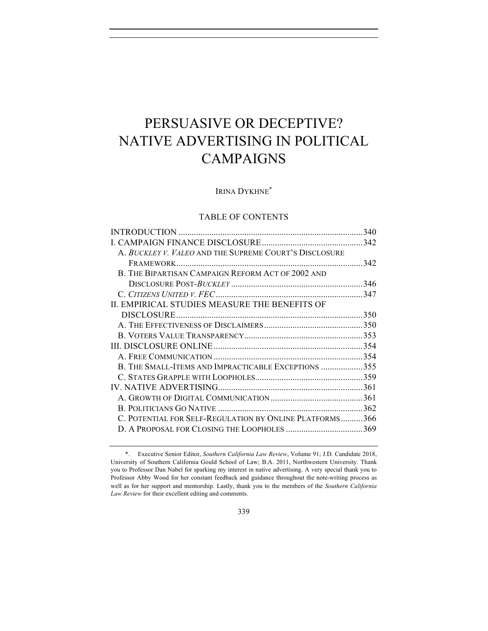# PERSUASIVE OR DECEPTIVE? NATIVE ADVERTISING IN POLITICAL CAMPAIGNS

IRINA DYKHNE\*

# TABLE OF CONTENTS

| A. BUCKLEY V. VALEO AND THE SUPREME COURT'S DISCLOSURE  |  |
|---------------------------------------------------------|--|
|                                                         |  |
| B. THE BIPARTISAN CAMPAIGN REFORM ACT OF 2002 AND       |  |
|                                                         |  |
|                                                         |  |
| II. EMPIRICAL STUDIES MEASURE THE BENEFITS OF           |  |
|                                                         |  |
|                                                         |  |
|                                                         |  |
|                                                         |  |
|                                                         |  |
| B. THE SMALL-ITEMS AND IMPRACTICABLE EXCEPTIONS 355     |  |
|                                                         |  |
|                                                         |  |
|                                                         |  |
|                                                         |  |
| C. POTENTIAL FOR SELF-REGULATION BY ONLINE PLATFORMS366 |  |
|                                                         |  |
|                                                         |  |

<sup>\*.</sup> Executive Senior Editor, *Southern California Law Review*, Volume 91; J.D. Candidate 2018, University of Southern California Gould School of Law; B.A. 2011, Northwestern University. Thank you to Professor Dan Nabel for sparking my interest in native advertising. A very special thank you to Professor Abby Wood for her constant feedback and guidance throughout the note-writing process as well as for her support and mentorship. Lastly, thank you to the members of the *Southern California Law Review* for their excellent editing and comments.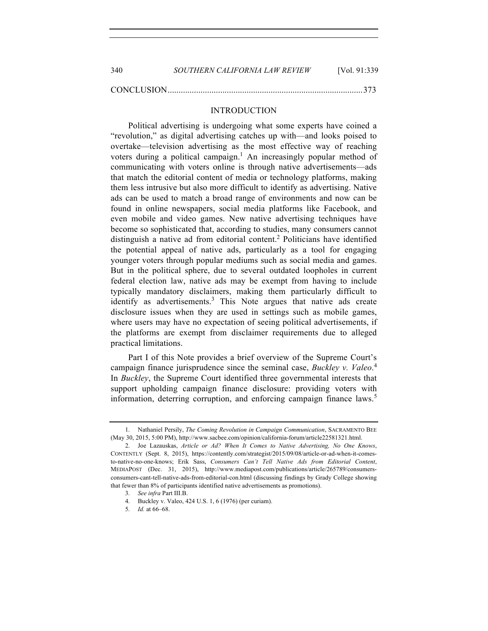| 340 | SOUTHERN CALIFORNIA LAW REVIEW | [Vol. 91:339] |
|-----|--------------------------------|---------------|
|     |                                |               |

CONCLUSION.........................................................................................373

# INTRODUCTION

Political advertising is undergoing what some experts have coined a "revolution," as digital advertising catches up with—and looks poised to overtake—television advertising as the most effective way of reaching voters during a political campaign.<sup>1</sup> An increasingly popular method of communicating with voters online is through native advertisements—ads that match the editorial content of media or technology platforms, making them less intrusive but also more difficult to identify as advertising. Native ads can be used to match a broad range of environments and now can be found in online newspapers, social media platforms like Facebook, and even mobile and video games. New native advertising techniques have become so sophisticated that, according to studies, many consumers cannot distinguish a native ad from editorial content.<sup>2</sup> Politicians have identified the potential appeal of native ads, particularly as a tool for engaging younger voters through popular mediums such as social media and games. But in the political sphere, due to several outdated loopholes in current federal election law, native ads may be exempt from having to include typically mandatory disclaimers, making them particularly difficult to identify as advertisements.<sup>3</sup> This Note argues that native ads create disclosure issues when they are used in settings such as mobile games, where users may have no expectation of seeing political advertisements, if the platforms are exempt from disclaimer requirements due to alleged practical limitations.

Part I of this Note provides a brief overview of the Supreme Court's campaign finance jurisprudence since the seminal case, *Buckley v. Valeo*. 4 In *Buckley*, the Supreme Court identified three governmental interests that support upholding campaign finance disclosure: providing voters with information, deterring corruption, and enforcing campaign finance laws.<sup>5</sup>

<sup>1.</sup> Nathaniel Persily, *The Coming Revolution in Campaign Communication*, SACRAMENTO BEE (May 30, 2015, 5:00 PM), http://www.sacbee.com/opinion/california-forum/article22581321.html.

<sup>2.</sup> Joe Lazauskas, *Article or Ad? When It Comes to Native Advertising, No One Knows*, CONTENTLY (Sept. 8, 2015), https://contently.com/strategist/2015/09/08/article-or-ad-when-it-comesto-native-no-one-knows; Erik Sass, *Consumers Can't Tell Native Ads from Editorial Content*, MEDIAPOST (Dec. 31, 2015), http://www.mediapost.com/publications/article/265789/consumersconsumers-cant-tell-native-ads-from-editorial-con.html (discussing findings by Grady College showing that fewer than 8% of participants identified native advertisements as promotions).

<sup>3.</sup> *See infra* Part III.B.

<sup>4.</sup> Buckley v. Valeo, 424 U.S. 1, 6 (1976) (per curiam).

<sup>5.</sup> *Id.* at 66–68.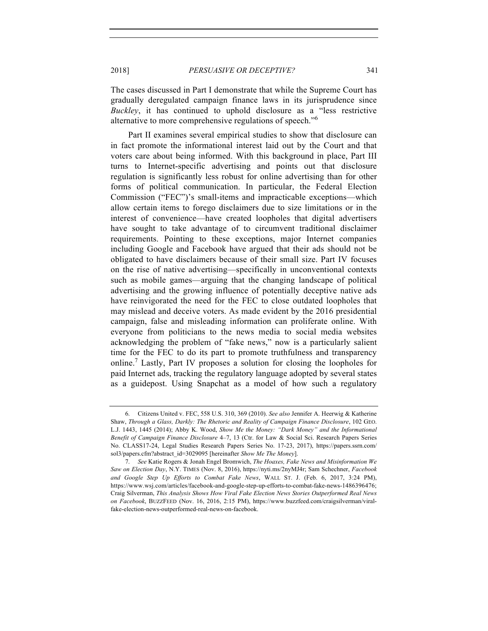The cases discussed in Part I demonstrate that while the Supreme Court has gradually deregulated campaign finance laws in its jurisprudence since *Buckley*, it has continued to uphold disclosure as a "less restrictive alternative to more comprehensive regulations of speech."<sup>6</sup>

Part II examines several empirical studies to show that disclosure can in fact promote the informational interest laid out by the Court and that voters care about being informed. With this background in place, Part III turns to Internet-specific advertising and points out that disclosure regulation is significantly less robust for online advertising than for other forms of political communication. In particular, the Federal Election Commission ("FEC")'s small-items and impracticable exceptions—which allow certain items to forego disclaimers due to size limitations or in the interest of convenience—have created loopholes that digital advertisers have sought to take advantage of to circumvent traditional disclaimer requirements. Pointing to these exceptions, major Internet companies including Google and Facebook have argued that their ads should not be obligated to have disclaimers because of their small size. Part IV focuses on the rise of native advertising—specifically in unconventional contexts such as mobile games—arguing that the changing landscape of political advertising and the growing influence of potentially deceptive native ads have reinvigorated the need for the FEC to close outdated loopholes that may mislead and deceive voters. As made evident by the 2016 presidential campaign, false and misleading information can proliferate online. With everyone from politicians to the news media to social media websites acknowledging the problem of "fake news," now is a particularly salient time for the FEC to do its part to promote truthfulness and transparency online.<sup>7</sup> Lastly, Part IV proposes a solution for closing the loopholes for paid Internet ads, tracking the regulatory language adopted by several states as a guidepost. Using Snapchat as a model of how such a regulatory

<sup>6.</sup> Citizens United v. FEC, 558 U.S. 310, 369 (2010). *See also* Jennifer A. Heerwig & Katherine Shaw, *Through a Glass, Darkly: The Rhetoric and Reality of Campaign Finance Disclosure*, 102 GEO. L.J. 1443, 1445 (2014); Abby K. Wood, *Show Me the Money: "Dark Money" and the Informational Benefit of Campaign Finance Disclosure* 4–7, 13 (Ctr. for Law & Social Sci. Research Papers Series No. CLASS17-24, Legal Studies Research Papers Series No. 17-23, 2017), https://papers.ssrn.com/ sol3/papers.cfm?abstract\_id=3029095 [hereinafter *Show Me The Money*].

<sup>7.</sup> *See* Katie Rogers & Jonah Engel Bromwich, *The Hoaxes, Fake News and Misinformation We Saw on Election Day*, N.Y. TIMES (Nov. 8, 2016), https://nyti.ms/2nyMJ4r; Sam Schechner, *Facebook and Google Step Up Efforts to Combat Fake News*, WALL ST. J. (Feb. 6, 2017, 3:24 PM), https://www.wsj.com/articles/facebook-and-google-step-up-efforts-to-combat-fake-news-1486396476; Craig Silverman, *This Analysis Shows How Viral Fake Election News Stories Outperformed Real News on Facebook*, BUZZFEED (Nov. 16, 2016, 2:15 PM), https://www.buzzfeed.com/craigsilverman/viralfake-election-news-outperformed-real-news-on-facebook.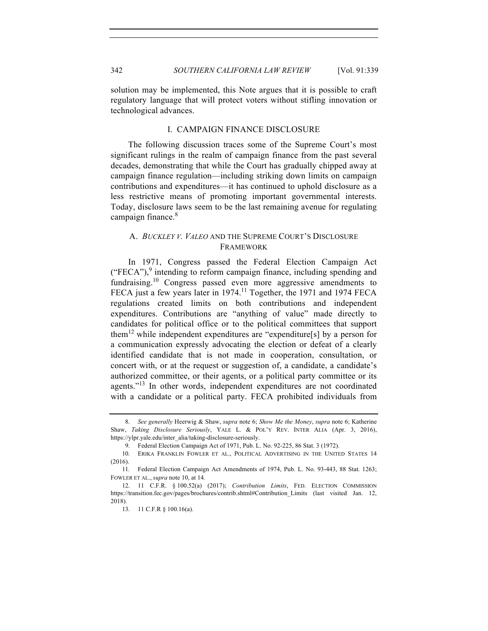solution may be implemented, this Note argues that it is possible to craft regulatory language that will protect voters without stifling innovation or technological advances.

# I. CAMPAIGN FINANCE DISCLOSURE

The following discussion traces some of the Supreme Court's most significant rulings in the realm of campaign finance from the past several decades, demonstrating that while the Court has gradually chipped away at campaign finance regulation—including striking down limits on campaign contributions and expenditures—it has continued to uphold disclosure as a less restrictive means of promoting important governmental interests. Today, disclosure laws seem to be the last remaining avenue for regulating campaign finance.<sup>8</sup>

# A. *BUCKLEY V. VALEO* AND THE SUPREME COURT'S DISCLOSURE FRAMEWORK

In 1971, Congress passed the Federal Election Campaign Act  $("FECA")$ , intending to reform campaign finance, including spending and fundraising.<sup>10</sup> Congress passed even more aggressive amendments to FECA just a few years later in 1974.<sup>11</sup> Together, the 1971 and 1974 FECA regulations created limits on both contributions and independent expenditures. Contributions are "anything of value" made directly to candidates for political office or to the political committees that support them<sup>12</sup> while independent expenditures are "expenditure[s] by a person for a communication expressly advocating the election or defeat of a clearly identified candidate that is not made in cooperation, consultation, or concert with, or at the request or suggestion of, a candidate, a candidate's authorized committee, or their agents, or a political party committee or its agents."<sup>13</sup> In other words, independent expenditures are not coordinated with a candidate or a political party. FECA prohibited individuals from

<sup>8.</sup> *See generally* Heerwig & Shaw, *supra* note 6; *Show Me the Money*, *supra* note 6; Katherine Shaw, *Taking Disclosure Seriously*, YALE L. & POL'Y REV. INTER ALIA (Apr. 3, 2016), https://ylpr.yale.edu/inter\_alia/taking-disclosure-seriously.

<sup>9.</sup> Federal Election Campaign Act of 1971, Pub. L. No. 92-225, 86 Stat. 3 (1972).

<sup>10.</sup> ERIKA FRANKLIN FOWLER ET AL., POLITICAL ADVERTISING IN THE UNITED STATES 14 (2016).

<sup>11</sup>*.* Federal Election Campaign Act Amendments of 1974, Pub. L. No. 93-443, 88 Stat. 1263; FOWLER ET AL., *supra* note 10, at 14*.*

<sup>12.</sup> 11 C.F.R. § 100.52(a) (2017); *Contribution Limits*, FED. ELECTION COMMISSION https://transition.fec.gov/pages/brochures/contrib.shtml#Contribution\_Limits (last visited Jan. 12, 2018).

<sup>13.</sup> 11 C.F.R § 100.16(a).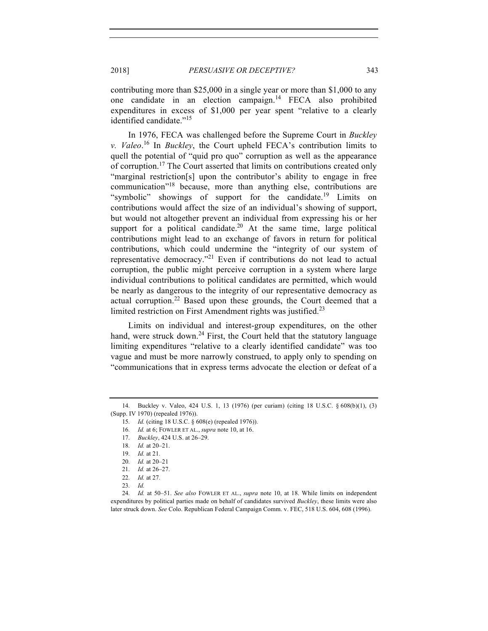contributing more than \$25,000 in a single year or more than \$1,000 to any

one candidate in an election campaign.<sup>14</sup> FECA also prohibited expenditures in excess of \$1,000 per year spent "relative to a clearly identified candidate."15

In 1976, FECA was challenged before the Supreme Court in *Buckley v. Valeo*. <sup>16</sup> In *Buckley*, the Court upheld FECA's contribution limits to quell the potential of "quid pro quo" corruption as well as the appearance of corruption.<sup>17</sup> The Court asserted that limits on contributions created only "marginal restriction[s] upon the contributor's ability to engage in free communication"18 because, more than anything else, contributions are "symbolic" showings of support for the candidate.<sup>19</sup> Limits on contributions would affect the size of an individual's showing of support, but would not altogether prevent an individual from expressing his or her support for a political candidate.<sup>20</sup> At the same time, large political contributions might lead to an exchange of favors in return for political contributions, which could undermine the "integrity of our system of representative democracy."<sup>21</sup> Even if contributions do not lead to actual corruption, the public might perceive corruption in a system where large individual contributions to political candidates are permitted, which would be nearly as dangerous to the integrity of our representative democracy as actual corruption.<sup>22</sup> Based upon these grounds, the Court deemed that a limited restriction on First Amendment rights was justified.<sup>23</sup>

Limits on individual and interest-group expenditures, on the other hand, were struck down.<sup>24</sup> First, the Court held that the statutory language limiting expenditures "relative to a clearly identified candidate" was too vague and must be more narrowly construed, to apply only to spending on "communications that in express terms advocate the election or defeat of a

<sup>14.</sup> Buckley v. Valeo, 424 U.S. 1, 13 (1976) (per curiam) (citing 18 U.S.C. § 608(b)(1), (3) (Supp. IV 1970) (repealed 1976)).

<sup>15.</sup> *Id.* (citing 18 U.S.C. § 608(e) (repealed 1976)).

<sup>16.</sup> *Id.* at 6; FOWLER ET AL., *supra* note 10, at 16.

<sup>17.</sup> *Buckley*, 424 U.S. at 26–29.

<sup>18.</sup> *Id.* at 20–21.

<sup>19.</sup> *Id.* at 21.

<sup>20.</sup> *Id.* at 20–21

<sup>21.</sup> *Id.* at 26–27.

<sup>22.</sup> *Id.* at 27.

<sup>23.</sup> *Id.*

<sup>24.</sup> *Id.* at 50–51. *See also* FOWLER ET AL., *supra* note 10, at 18. While limits on independent expenditures by political parties made on behalf of candidates survived *Buckley*, these limits were also later struck down. *See* Colo. Republican Federal Campaign Comm. v. FEC, 518 U.S. 604, 608 (1996).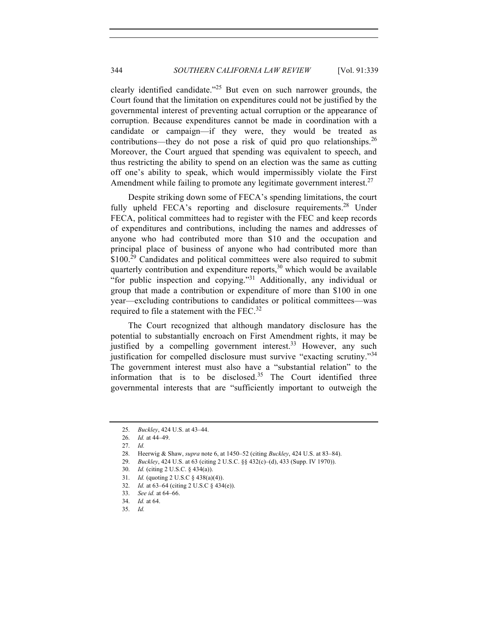clearly identified candidate."<sup>25</sup> But even on such narrower grounds, the Court found that the limitation on expenditures could not be justified by the governmental interest of preventing actual corruption or the appearance of corruption. Because expenditures cannot be made in coordination with a candidate or campaign—if they were, they would be treated as contributions—they do not pose a risk of quid pro quo relationships.<sup>26</sup> Moreover, the Court argued that spending was equivalent to speech, and thus restricting the ability to spend on an election was the same as cutting off one's ability to speak, which would impermissibly violate the First Amendment while failing to promote any legitimate government interest.<sup>27</sup>

Despite striking down some of FECA's spending limitations, the court fully upheld FECA's reporting and disclosure requirements.<sup>28</sup> Under FECA, political committees had to register with the FEC and keep records of expenditures and contributions, including the names and addresses of anyone who had contributed more than \$10 and the occupation and principal place of business of anyone who had contributed more than  $$100.<sup>29</sup>$  Candidates and political committees were also required to submit quarterly contribution and expenditure reports,<sup>30</sup> which would be available "for public inspection and copying."<sup>31</sup> Additionally, any individual or group that made a contribution or expenditure of more than \$100 in one year—excluding contributions to candidates or political committees—was required to file a statement with the FEC.<sup>32</sup>

The Court recognized that although mandatory disclosure has the potential to substantially encroach on First Amendment rights, it may be justified by a compelling government interest. $33$  However, any such justification for compelled disclosure must survive "exacting scrutiny."<sup>34</sup> The government interest must also have a "substantial relation" to the information that is to be disclosed. $35$  The Court identified three governmental interests that are "sufficiently important to outweigh the

<sup>25.</sup> *Buckley*, 424 U.S. at 43–44.

<sup>26.</sup> *Id.* at 44–49.

<sup>27.</sup> *Id.*

<sup>28.</sup> Heerwig & Shaw, *supra* note 6, at 1450–52 (citing *Buckley*, 424 U.S. at 83–84).

<sup>29.</sup> *Buckley*, 424 U.S. at 63 (citing 2 U.S.C. §§ 432(c)–(d), 433 (Supp. IV 1970)).

<sup>30.</sup> *Id.* (citing 2 U.S.C. § 434(a)).

<sup>31.</sup> *Id.* (quoting 2 U.S.C § 438(a)(4)).

<sup>32.</sup> *Id.* at 63–64 (citing 2 U.S.C § 434(e)).

<sup>33.</sup> *See id.* at 64–66.

<sup>34.</sup> *Id.* at 64.

<sup>35.</sup> *Id.*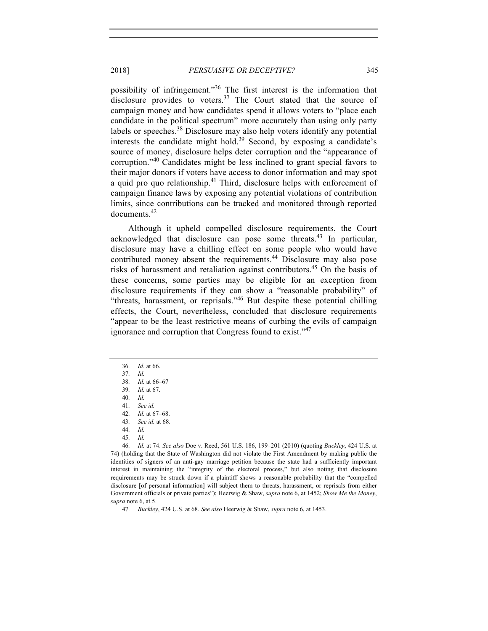possibility of infringement."<sup>36</sup> The first interest is the information that disclosure provides to voters.<sup>37</sup> The Court stated that the source of campaign money and how candidates spend it allows voters to "place each candidate in the political spectrum" more accurately than using only party labels or speeches.<sup>38</sup> Disclosure may also help voters identify any potential interests the candidate might hold.<sup>39</sup> Second, by exposing a candidate's source of money, disclosure helps deter corruption and the "appearance of corruption."<sup>40</sup> Candidates might be less inclined to grant special favors to their major donors if voters have access to donor information and may spot a quid pro quo relationship.<sup>41</sup> Third, disclosure helps with enforcement of campaign finance laws by exposing any potential violations of contribution limits, since contributions can be tracked and monitored through reported documents.<sup>42</sup>

Although it upheld compelled disclosure requirements, the Court acknowledged that disclosure can pose some threats.<sup>43</sup> In particular, disclosure may have a chilling effect on some people who would have contributed money absent the requirements.<sup>44</sup> Disclosure may also pose risks of harassment and retaliation against contributors.<sup>45</sup> On the basis of these concerns, some parties may be eligible for an exception from disclosure requirements if they can show a "reasonable probability" of "threats, harassment, or reprisals."<sup>46</sup> But despite these potential chilling effects, the Court, nevertheless, concluded that disclosure requirements "appear to be the least restrictive means of curbing the evils of campaign ignorance and corruption that Congress found to exist."<sup>47</sup>

41. *See id.*

45. *Id.*

46. *Id.* at 74. *See also* Doe v. Reed, 561 U.S. 186, 199–201 (2010) (quoting *Buckley*, 424 U.S. at 74) (holding that the State of Washington did not violate the First Amendment by making public the identities of signers of an anti-gay marriage petition because the state had a sufficiently important interest in maintaining the "integrity of the electoral process," but also noting that disclosure requirements may be struck down if a plaintiff shows a reasonable probability that the "compelled disclosure [of personal information] will subject them to threats, harassment, or reprisals from either Government officials or private parties"); Heerwig & Shaw, *supra* note 6, at 1452; *Show Me the Money*, *supra* note 6, at 5.

47. *Buckley*, 424 U.S. at 68. *See also* Heerwig & Shaw, *supra* note 6, at 1453.

<sup>36.</sup> *Id.* at 66.

<sup>37.</sup> *Id.*

<sup>38.</sup> *Id.* at 66–67 39. *Id.* at 67.

<sup>40.</sup> *Id.*

<sup>42.</sup> *Id.* at 67–68. 43. *See id.* at 68.

<sup>44.</sup> *Id.*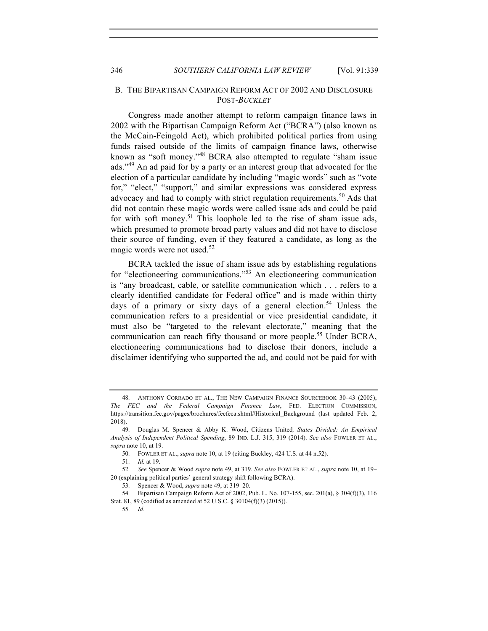# B. THE BIPARTISAN CAMPAIGN REFORM ACT OF 2002 AND DISCLOSURE POST-*BUCKLEY*

Congress made another attempt to reform campaign finance laws in 2002 with the Bipartisan Campaign Reform Act ("BCRA") (also known as the McCain-Feingold Act), which prohibited political parties from using funds raised outside of the limits of campaign finance laws, otherwise known as "soft money."<sup>48</sup> BCRA also attempted to regulate "sham issue ads."<sup>49</sup> An ad paid for by a party or an interest group that advocated for the election of a particular candidate by including "magic words" such as "vote for," "elect," "support," and similar expressions was considered express advocacy and had to comply with strict regulation requirements.<sup>50</sup> Ads that did not contain these magic words were called issue ads and could be paid for with soft money.<sup>51</sup> This loophole led to the rise of sham issue ads, which presumed to promote broad party values and did not have to disclose their source of funding, even if they featured a candidate, as long as the magic words were not used.<sup>52</sup>

BCRA tackled the issue of sham issue ads by establishing regulations for "electioneering communications."<sup>53</sup> An electioneering communication is "any broadcast, cable, or satellite communication which . . . refers to a clearly identified candidate for Federal office" and is made within thirty days of a primary or sixty days of a general election.<sup>54</sup> Unless the communication refers to a presidential or vice presidential candidate, it must also be "targeted to the relevant electorate," meaning that the communication can reach fifty thousand or more people.<sup>55</sup> Under BCRA, electioneering communications had to disclose their donors, include a disclaimer identifying who supported the ad, and could not be paid for with

<sup>48.</sup> ANTHONY CORRADO ET AL., THE NEW CAMPAIGN FINANCE SOURCEBOOK 30–43 (2005); *The FEC and the Federal Campaign Finance Law*, FED. ELECTION COMMISSION, https://transition.fec.gov/pages/brochures/fecfeca.shtml#Historical\_Background (last updated Feb. 2, 2018).

<sup>49.</sup> Douglas M. Spencer & Abby K. Wood, Citizens United*, States Divided: An Empirical Analysis of Independent Political Spending*, 89 IND. L.J. 315, 319 (2014). *See also* FOWLER ET AL., *supra* note 10, at 19.

<sup>50.</sup> FOWLER ET AL., *supra* note 10, at 19 (citing Buckley, 424 U.S. at 44 n.52).

<sup>51.</sup> *Id.* at 19.

<sup>52.</sup> *See* Spencer & Wood *supra* note 49, at 319. *See also* FOWLER ET AL., *supra* note 10, at 19– 20 (explaining political parties' general strategy shift following BCRA).

<sup>53.</sup> Spencer & Wood, *supra* note 49, at 319–20.

<sup>54.</sup> Bipartisan Campaign Reform Act of 2002, Pub. L. No. 107-155, sec. 201(a), § 304(f)(3), 116 Stat. 81, 89 (codified as amended at 52 U.S.C. § 30104(f)(3) (2015)).

<sup>55.</sup> *Id.*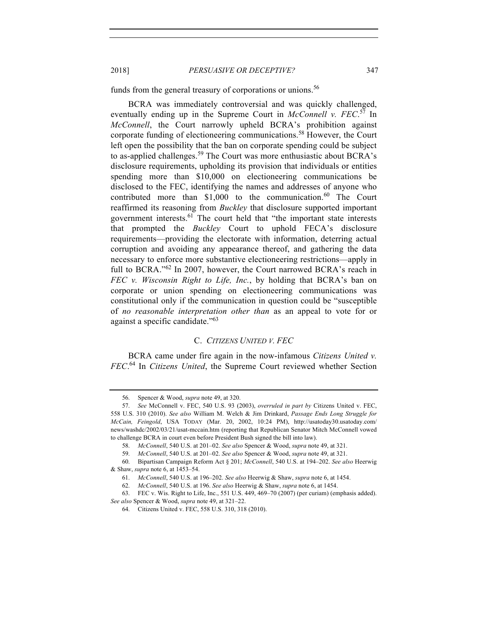funds from the general treasury of corporations or unions.<sup>56</sup>

BCRA was immediately controversial and was quickly challenged, eventually ending up in the Supreme Court in *McConnell v. FEC*. <sup>57</sup> In *McConnell*, the Court narrowly upheld BCRA's prohibition against corporate funding of electioneering communications.<sup>58</sup> However, the Court left open the possibility that the ban on corporate spending could be subject to as-applied challenges.<sup>59</sup> The Court was more enthusiastic about BCRA's disclosure requirements, upholding its provision that individuals or entities spending more than \$10,000 on electioneering communications be disclosed to the FEC, identifying the names and addresses of anyone who contributed more than  $$1,000$  to the communication.<sup>60</sup> The Court reaffirmed its reasoning from *Buckley* that disclosure supported important government interests.<sup>61</sup> The court held that "the important state interests that prompted the *Buckley* Court to uphold FECA's disclosure requirements—providing the electorate with information, deterring actual corruption and avoiding any appearance thereof, and gathering the data necessary to enforce more substantive electioneering restrictions—apply in full to BCRA."<sup>62</sup> In 2007, however, the Court narrowed BCRA's reach in *FEC v. Wisconsin Right to Life, Inc.*, by holding that BCRA's ban on corporate or union spending on electioneering communications was constitutional only if the communication in question could be "susceptible of *no reasonable interpretation other than* as an appeal to vote for or against a specific candidate."63

## C. *CITIZENS UNITED V. FEC*

BCRA came under fire again in the now-infamous *Citizens United v. FEC*. <sup>64</sup> In *Citizens United*, the Supreme Court reviewed whether Section

<sup>56.</sup> Spencer & Wood, *supra* note 49, at 320.

<sup>57.</sup> *See* McConnell v. FEC, 540 U.S. 93 (2003), *overruled in part by* Citizens United v. FEC, 558 U.S. 310 (2010). *See also* William M. Welch & Jim Drinkard, *Passage Ends Long Struggle for McCain, Feingold*, USA TODAY (Mar. 20, 2002, 10:24 PM), http://usatoday30.usatoday.com/ news/washdc/2002/03/21/usat-mccain.htm (reporting that Republican Senator Mitch McConnell vowed to challenge BCRA in court even before President Bush signed the bill into law).

<sup>58.</sup> *McConnell*, 540 U.S. at 201–02. *See also* Spencer & Wood, *supra* note 49, at 321.

<sup>59.</sup> *McConnell*, 540 U.S. at 201–02. *See also* Spencer & Wood, *supra* note 49, at 321.

<sup>60.</sup> Bipartisan Campaign Reform Act § 201; *McConnell*, 540 U.S. at 194–202. *See also* Heerwig & Shaw, *supra* note 6, at 1453–54.

<sup>61.</sup> *McConnell*, 540 U.S. at 196–202. *See also* Heerwig & Shaw, *supra* note 6, at 1454.

<sup>62.</sup> *McConnell*, 540 U.S. at 196. *See also* Heerwig & Shaw, *supra* note 6, at 1454.

<sup>63.</sup> FEC v. Wis. Right to Life, Inc., 551 U.S. 449, 469–70 (2007) (per curiam) (emphasis added). *See also* Spencer & Wood, *supra* note 49, at 321–22.

<sup>64.</sup> Citizens United v. FEC, 558 U.S. 310, 318 (2010).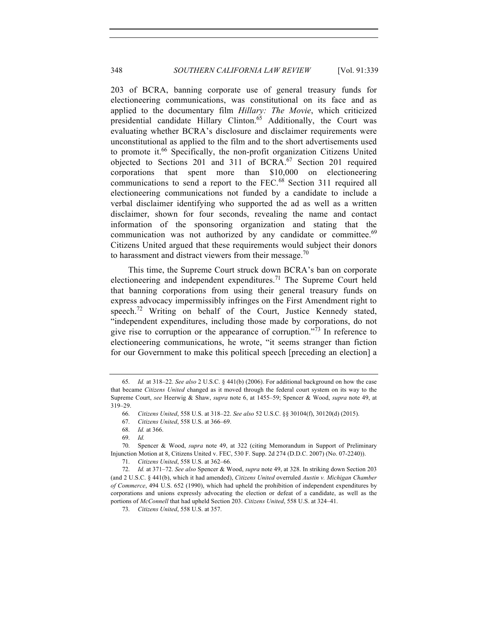203 of BCRA, banning corporate use of general treasury funds for electioneering communications, was constitutional on its face and as applied to the documentary film *Hillary: The Movie*, which criticized presidential candidate Hillary Clinton.<sup>65</sup> Additionally, the Court was evaluating whether BCRA's disclosure and disclaimer requirements were unconstitutional as applied to the film and to the short advertisements used to promote it.<sup>66</sup> Specifically, the non-profit organization Citizens United objected to Sections 201 and 311 of BCRA.<sup>67</sup> Section 201 required corporations that spent more than \$10,000 on electioneering communications to send a report to the FEC.<sup>68</sup> Section 311 required all electioneering communications not funded by a candidate to include a verbal disclaimer identifying who supported the ad as well as a written disclaimer, shown for four seconds, revealing the name and contact information of the sponsoring organization and stating that the communication was not authorized by any candidate or committee. $69$ Citizens United argued that these requirements would subject their donors to harassment and distract viewers from their message.<sup>70</sup>

This time, the Supreme Court struck down BCRA's ban on corporate electioneering and independent expenditures.<sup>71</sup> The Supreme Court held that banning corporations from using their general treasury funds on express advocacy impermissibly infringes on the First Amendment right to speech.<sup>72</sup> Writing on behalf of the Court, Justice Kennedy stated, "independent expenditures, including those made by corporations, do not give rise to corruption or the appearance of corruption."<sup>73</sup> In reference to electioneering communications, he wrote, "it seems stranger than fiction for our Government to make this political speech [preceding an election] a

<sup>65.</sup> *Id.* at 318–22. *See also* 2 U.S.C. § 441(b) (2006). For additional background on how the case that became *Citizens United* changed as it moved through the federal court system on its way to the Supreme Court, *see* Heerwig & Shaw, *supra* note 6, at 1455–59; Spencer & Wood, *supra* note 49, at 319–29.

<sup>66.</sup> *Citizens United*, 558 U.S. at 318–22. *See also* 52 U.S.C. §§ 30104(f), 30120(d) (2015).

<sup>67.</sup> *Citizens United*, 558 U.S. at 366–69.

<sup>68.</sup> *Id.* at 366.

<sup>69.</sup> *Id.*

<sup>70.</sup> Spencer & Wood, *supra* note 49, at 322 (citing Memorandum in Support of Preliminary Injunction Motion at 8, Citizens United v. FEC, 530 F. Supp. 2d 274 (D.D.C. 2007) (No. 07-2240)).

<sup>71.</sup> *Citizens United*, 558 U.S. at 362–66.

<sup>72.</sup> *Id.* at 371–72. *See also* Spencer & Wood, *supra* note 49, at 328. In striking down Section 203 (and 2 U.S.C. § 441(b), which it had amended), *Citizens United* overruled *Austin v. Michigan Chamber of Commerce*, 494 U.S. 652 (1990), which had upheld the prohibition of independent expenditures by corporations and unions expressly advocating the election or defeat of a candidate, as well as the portions of *McConnell* that had upheld Section 203. *Citizens United*, 558 U.S. at 324–41.

<sup>73.</sup> *Citizens United*, 558 U.S. at 357.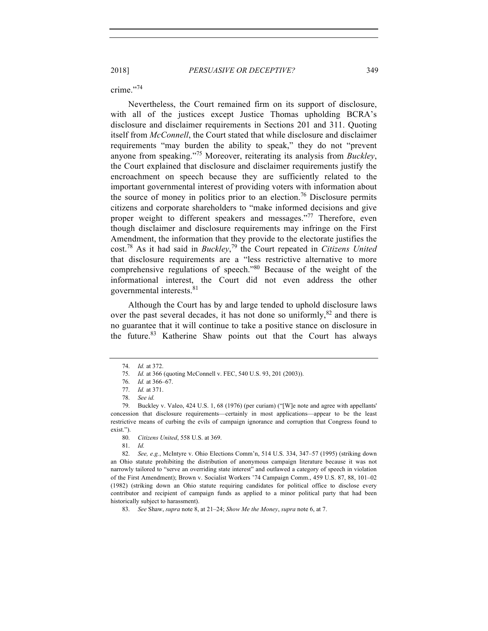crime<sup>"74</sup>

Nevertheless, the Court remained firm on its support of disclosure, with all of the justices except Justice Thomas upholding BCRA's disclosure and disclaimer requirements in Sections 201 and 311. Quoting itself from *McConnell*, the Court stated that while disclosure and disclaimer requirements "may burden the ability to speak," they do not "prevent anyone from speaking."<sup>75</sup> Moreover, reiterating its analysis from *Buckley*, the Court explained that disclosure and disclaimer requirements justify the encroachment on speech because they are sufficiently related to the important governmental interest of providing voters with information about the source of money in politics prior to an election.<sup>76</sup> Disclosure permits citizens and corporate shareholders to "make informed decisions and give proper weight to different speakers and messages."<sup>77</sup> Therefore, even though disclaimer and disclosure requirements may infringe on the First Amendment, the information that they provide to the electorate justifies the cost.78 As it had said in *Buckley*, <sup>79</sup> the Court repeated in *Citizens United* that disclosure requirements are a "less restrictive alternative to more comprehensive regulations of speech."<sup>80</sup> Because of the weight of the informational interest, the Court did not even address the other governmental interests.<sup>81</sup>

Although the Court has by and large tended to uphold disclosure laws over the past several decades, it has not done so uniformly, ${}^{82}$  and there is no guarantee that it will continue to take a positive stance on disclosure in the future.<sup>83</sup> Katherine Shaw points out that the Court has always

81. *Id.*

82. *See, e.g.*, McIntyre v. Ohio Elections Comm'n, 514 U.S. 334, 347–57 (1995) (striking down an Ohio statute prohibiting the distribution of anonymous campaign literature because it was not narrowly tailored to "serve an overriding state interest" and outlawed a category of speech in violation of the First Amendment); Brown v. Socialist Workers '74 Campaign Comm., 459 U.S. 87, 88, 101–02 (1982) (striking down an Ohio statute requiring candidates for political office to disclose every contributor and recipient of campaign funds as applied to a minor political party that had been historically subject to harassment).

<sup>74.</sup> *Id.* at 372.

<sup>75.</sup> *Id.* at 366 (quoting McConnell v. FEC, 540 U.S. 93, 201 (2003)).

<sup>76.</sup> *Id.* at 366–67.

<sup>77.</sup> *Id.* at 371.

<sup>78.</sup> *See id.*

<sup>79.</sup> Buckley v. Valeo, 424 U.S. 1, 68 (1976) (per curiam) ("[W]e note and agree with appellants' concession that disclosure requirements—certainly in most applications—appear to be the least restrictive means of curbing the evils of campaign ignorance and corruption that Congress found to exist.").

<sup>80.</sup> *Citizens United*, 558 U.S. at 369.

<sup>83.</sup> *See* Shaw, *supra* note 8, at 21–24; *Show Me the Money*, *supra* note 6, at 7.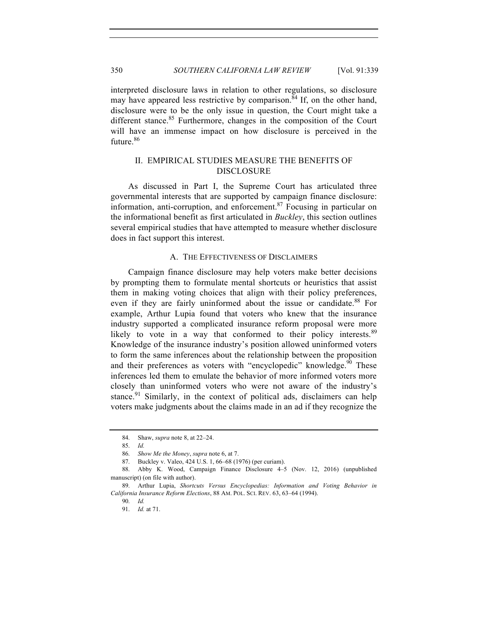interpreted disclosure laws in relation to other regulations, so disclosure may have appeared less restrictive by comparison.<sup>84</sup> If, on the other hand, disclosure were to be the only issue in question, the Court might take a different stance.<sup>85</sup> Furthermore, changes in the composition of the Court will have an immense impact on how disclosure is perceived in the future.<sup>86</sup>

# II. EMPIRICAL STUDIES MEASURE THE BENEFITS OF DISCLOSURE

As discussed in Part I, the Supreme Court has articulated three governmental interests that are supported by campaign finance disclosure: information, anti-corruption, and enforcement.87 Focusing in particular on the informational benefit as first articulated in *Buckley*, this section outlines several empirical studies that have attempted to measure whether disclosure does in fact support this interest.

#### A. THE EFFECTIVENESS OF DISCLAIMERS

Campaign finance disclosure may help voters make better decisions by prompting them to formulate mental shortcuts or heuristics that assist them in making voting choices that align with their policy preferences, even if they are fairly uninformed about the issue or candidate.<sup>88</sup> For example, Arthur Lupia found that voters who knew that the insurance industry supported a complicated insurance reform proposal were more likely to vote in a way that conformed to their policy interests.<sup>89</sup> Knowledge of the insurance industry's position allowed uninformed voters to form the same inferences about the relationship between the proposition and their preferences as voters with "encyclopedic" knowledge.<sup>90</sup> These inferences led them to emulate the behavior of more informed voters more closely than uninformed voters who were not aware of the industry's stance.<sup>91</sup> Similarly, in the context of political ads, disclaimers can help voters make judgments about the claims made in an ad if they recognize the

<sup>84.</sup> Shaw, *supra* note 8, at 22–24.

<sup>85.</sup> *Id.*

<sup>86.</sup> *Show Me the Money*, *supra* note 6, at 7.

<sup>87.</sup> Buckley v. Valeo, 424 U.S. 1, 66–68 (1976) (per curiam).

<sup>88.</sup> Abby K. Wood, Campaign Finance Disclosure 4–5 (Nov. 12, 2016) (unpublished manuscript) (on file with author).

<sup>89.</sup> Arthur Lupia, *Shortcuts Versus Encyclopedias: Information and Voting Behavior in California Insurance Reform Elections*, 88 AM. POL. SCI. REV. 63, 63–64 (1994).

<sup>90.</sup> *Id.*

<sup>91.</sup> *Id.* at 71.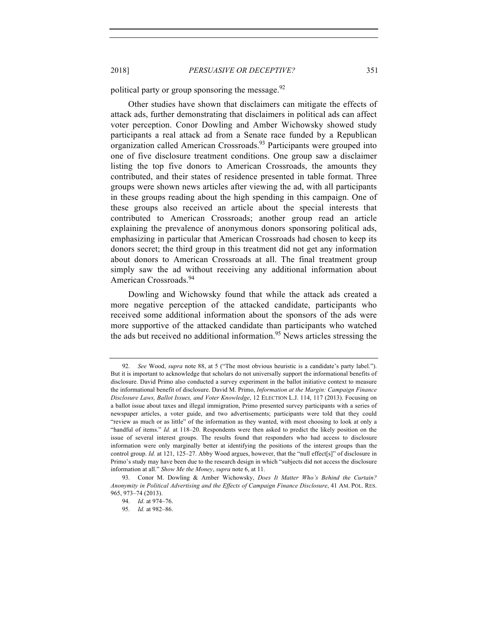political party or group sponsoring the message.  $92$ 

Other studies have shown that disclaimers can mitigate the effects of attack ads, further demonstrating that disclaimers in political ads can affect voter perception. Conor Dowling and Amber Wichowsky showed study participants a real attack ad from a Senate race funded by a Republican organization called American Crossroads.<sup>93</sup> Participants were grouped into one of five disclosure treatment conditions. One group saw a disclaimer listing the top five donors to American Crossroads, the amounts they contributed, and their states of residence presented in table format. Three groups were shown news articles after viewing the ad, with all participants in these groups reading about the high spending in this campaign. One of these groups also received an article about the special interests that contributed to American Crossroads; another group read an article explaining the prevalence of anonymous donors sponsoring political ads, emphasizing in particular that American Crossroads had chosen to keep its donors secret; the third group in this treatment did not get any information about donors to American Crossroads at all. The final treatment group simply saw the ad without receiving any additional information about American Crossroads.<sup>94</sup>

Dowling and Wichowsky found that while the attack ads created a more negative perception of the attacked candidate, participants who received some additional information about the sponsors of the ads were more supportive of the attacked candidate than participants who watched the ads but received no additional information.<sup>95</sup> News articles stressing the

<sup>92.</sup> *See* Wood, *supra* note 88, at 5 ("The most obvious heuristic is a candidate's party label."). But it is important to acknowledge that scholars do not universally support the informational benefits of disclosure. David Primo also conducted a survey experiment in the ballot initiative context to measure the informational benefit of disclosure. David M. Primo, *Information at the Margin: Campaign Finance Disclosure Laws, Ballot Issues, and Voter Knowledge*, 12 ELECTION L.J. 114, 117 (2013). Focusing on a ballot issue about taxes and illegal immigration, Primo presented survey participants with a series of newspaper articles, a voter guide, and two advertisements; participants were told that they could "review as much or as little" of the information as they wanted, with most choosing to look at only a "handful of items." *Id.* at 118–20. Respondents were then asked to predict the likely position on the issue of several interest groups. The results found that responders who had access to disclosure information were only marginally better at identifying the positions of the interest groups than the control group. *Id.* at 121, 125–27. Abby Wood argues, however, that the "null effect[s]" of disclosure in Primo's study may have been due to the research design in which "subjects did not access the disclosure information at all." *Show Me the Money*, *supra* note 6, at 11.

<sup>93.</sup> Conor M. Dowling & Amber Wichowsky, *Does It Matter Who's Behind the Curtain? Anonymity in Political Advertising and the Effects of Campaign Finance Disclosure*, 41 AM. POL. RES. 965, 973–74 (2013).

<sup>94.</sup> *Id*. at 974–76.

<sup>95.</sup> *Id.* at 982–86.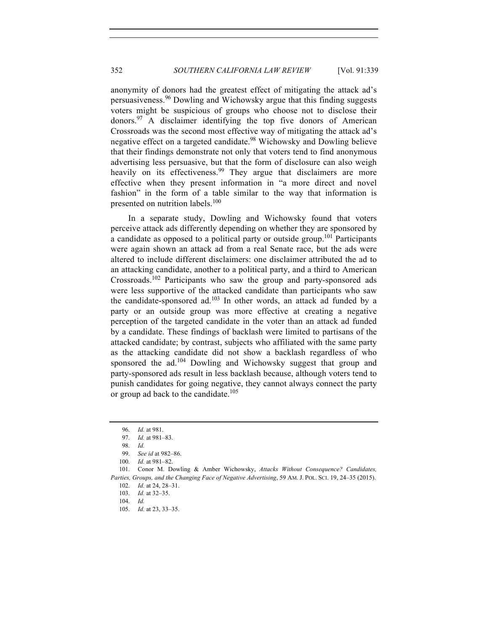anonymity of donors had the greatest effect of mitigating the attack ad's persuasiveness.<sup>96</sup> Dowling and Wichowsky argue that this finding suggests voters might be suspicious of groups who choose not to disclose their donors.97 A disclaimer identifying the top five donors of American Crossroads was the second most effective way of mitigating the attack ad's negative effect on a targeted candidate.<sup>98</sup> Wichowsky and Dowling believe that their findings demonstrate not only that voters tend to find anonymous advertising less persuasive, but that the form of disclosure can also weigh heavily on its effectiveness.<sup>99</sup> They argue that disclaimers are more effective when they present information in "a more direct and novel fashion" in the form of a table similar to the way that information is presented on nutrition labels.<sup>100</sup>

In a separate study, Dowling and Wichowsky found that voters perceive attack ads differently depending on whether they are sponsored by a candidate as opposed to a political party or outside group.<sup>101</sup> Participants were again shown an attack ad from a real Senate race, but the ads were altered to include different disclaimers: one disclaimer attributed the ad to an attacking candidate, another to a political party, and a third to American Crossroads.<sup>102</sup> Participants who saw the group and party-sponsored ads were less supportive of the attacked candidate than participants who saw the candidate-sponsored ad. $103$  In other words, an attack ad funded by a party or an outside group was more effective at creating a negative perception of the targeted candidate in the voter than an attack ad funded by a candidate. These findings of backlash were limited to partisans of the attacked candidate; by contrast, subjects who affiliated with the same party as the attacking candidate did not show a backlash regardless of who sponsored the ad.<sup>104</sup> Dowling and Wichowsky suggest that group and party-sponsored ads result in less backlash because, although voters tend to punish candidates for going negative, they cannot always connect the party or group ad back to the candidate.<sup>105</sup>

<sup>96.</sup> *Id.* at 981.

<sup>97.</sup> *Id.* at 981–83.

<sup>98.</sup> *Id.*

<sup>99.</sup> *See id* at 982–86.

<sup>100.</sup> *Id.* at 981–82.

<sup>101.</sup> Conor M. Dowling & Amber Wichowsky, *Attacks Without Consequence? Candidates, Parties, Groups, and the Changing Face of Negative Advertising*, 59 AM. J. POL. SCI. 19, 24–35 (2015).

<sup>102.</sup> *Id.* at 24, 28–31.

<sup>103.</sup> *Id.* at 32–35.

<sup>104.</sup> *Id.* 

<sup>105.</sup> *Id.* at 23, 33–35.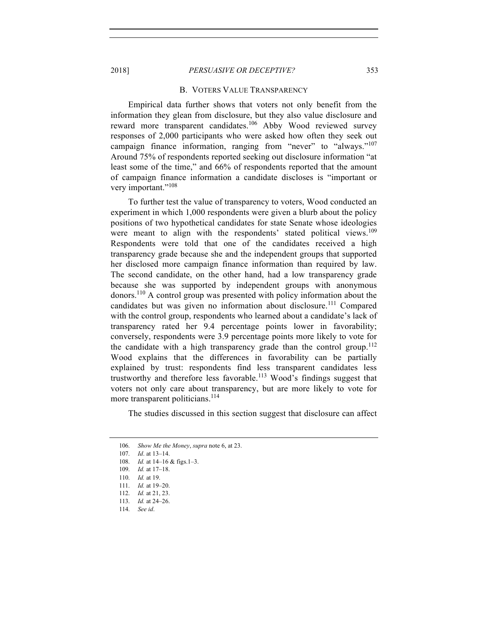#### B. VOTERS VALUE TRANSPARENCY

Empirical data further shows that voters not only benefit from the information they glean from disclosure, but they also value disclosure and reward more transparent candidates.<sup>106</sup> Abby Wood reviewed survey responses of 2,000 participants who were asked how often they seek out campaign finance information, ranging from "never" to "always."<sup>107</sup> Around 75% of respondents reported seeking out disclosure information "at least some of the time," and 66% of respondents reported that the amount of campaign finance information a candidate discloses is "important or very important."<sup>108</sup>

To further test the value of transparency to voters, Wood conducted an experiment in which 1,000 respondents were given a blurb about the policy positions of two hypothetical candidates for state Senate whose ideologies were meant to align with the respondents' stated political views.<sup>109</sup> Respondents were told that one of the candidates received a high transparency grade because she and the independent groups that supported her disclosed more campaign finance information than required by law. The second candidate, on the other hand, had a low transparency grade because she was supported by independent groups with anonymous donors.110 A control group was presented with policy information about the candidates but was given no information about disclosure. <sup>111</sup> Compared with the control group, respondents who learned about a candidate's lack of transparency rated her 9.4 percentage points lower in favorability; conversely, respondents were 3.9 percentage points more likely to vote for the candidate with a high transparency grade than the control group.<sup>112</sup> Wood explains that the differences in favorability can be partially explained by trust: respondents find less transparent candidates less trustworthy and therefore less favorable.<sup>113</sup> Wood's findings suggest that voters not only care about transparency, but are more likely to vote for more transparent politicians.<sup>114</sup>

The studies discussed in this section suggest that disclosure can affect

<sup>106.</sup> *Show Me the Money*, *supra* note 6, at 23.

<sup>107.</sup> *Id*. at 13–14.

<sup>108.</sup> *Id.* at 14–16 & figs.1–3.

<sup>109.</sup> *Id.* at 17–18.

<sup>110.</sup> *Id.* at 19.

<sup>111.</sup> *Id.* at 19–20.

<sup>112.</sup> *Id.* at 21, 23.

<sup>113.</sup> *Id.* at 24–26.

<sup>114.</sup> *See id*.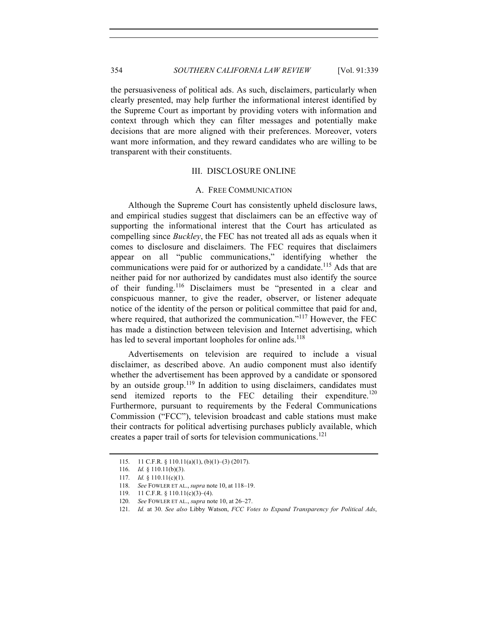the persuasiveness of political ads. As such, disclaimers, particularly when clearly presented, may help further the informational interest identified by the Supreme Court as important by providing voters with information and context through which they can filter messages and potentially make decisions that are more aligned with their preferences. Moreover, voters want more information, and they reward candidates who are willing to be transparent with their constituents.

# III. DISCLOSURE ONLINE

#### A. FREE COMMUNICATION

Although the Supreme Court has consistently upheld disclosure laws, and empirical studies suggest that disclaimers can be an effective way of supporting the informational interest that the Court has articulated as compelling since *Buckley*, the FEC has not treated all ads as equals when it comes to disclosure and disclaimers. The FEC requires that disclaimers appear on all "public communications," identifying whether the communications were paid for or authorized by a candidate.<sup>115</sup> Ads that are neither paid for nor authorized by candidates must also identify the source of their funding.<sup>116</sup> Disclaimers must be "presented in a clear and conspicuous manner, to give the reader, observer, or listener adequate notice of the identity of the person or political committee that paid for and, where required, that authorized the communication."<sup>117</sup> However, the FEC has made a distinction between television and Internet advertising, which has led to several important loopholes for online ads.<sup>118</sup>

Advertisements on television are required to include a visual disclaimer, as described above. An audio component must also identify whether the advertisement has been approved by a candidate or sponsored by an outside group.<sup>119</sup> In addition to using disclaimers, candidates must send itemized reports to the FEC detailing their expenditure.<sup>120</sup> Furthermore, pursuant to requirements by the Federal Communications Commission ("FCC"), television broadcast and cable stations must make their contracts for political advertising purchases publicly available, which creates a paper trail of sorts for television communications.<sup>121</sup>

<sup>115.</sup> 11 C.F.R. § 110.11(a)(1), (b)(1)–(3) (2017).

<sup>116.</sup> *Id.* § 110.11(b)(3).

<sup>117.</sup> *Id.* § 110.11(c)(1).

<sup>118.</sup> *See* FOWLER ET AL., *supra* note 10, at 118–19.

<sup>119.</sup> 11 C.F.R. § 110.11(c)(3)–(4).

<sup>120.</sup> *See* FOWLER ET AL., *supra* note 10, at 26–27.

<sup>121.</sup> *Id.* at 30. *See also* Libby Watson, *FCC Votes to Expand Transparency for Political Ads*,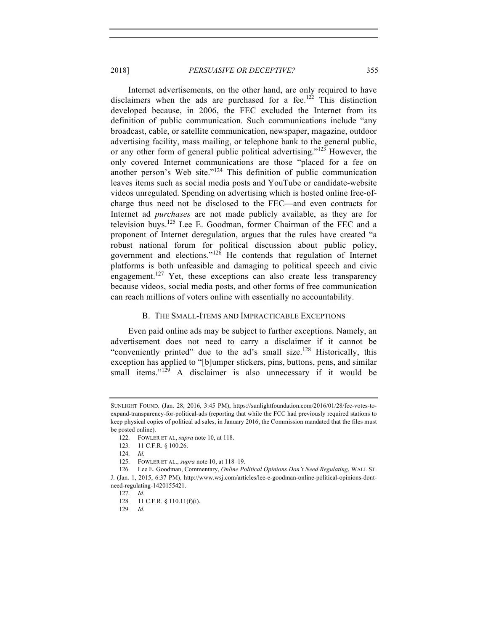Internet advertisements, on the other hand, are only required to have disclaimers when the ads are purchased for a fee.<sup>122</sup> This distinction developed because, in 2006, the FEC excluded the Internet from its definition of public communication. Such communications include "any broadcast, cable, or satellite communication, newspaper, magazine, outdoor advertising facility, mass mailing, or telephone bank to the general public, or any other form of general public political advertising."<sup>123</sup> However, the only covered Internet communications are those "placed for a fee on another person's Web site."<sup>124</sup> This definition of public communication leaves items such as social media posts and YouTube or candidate-website videos unregulated. Spending on advertising which is hosted online free-ofcharge thus need not be disclosed to the FEC—and even contracts for Internet ad *purchases* are not made publicly available, as they are for television buys.125 Lee E. Goodman, former Chairman of the FEC and a proponent of Internet deregulation, argues that the rules have created "a robust national forum for political discussion about public policy, government and elections."<sup>126</sup> He contends that regulation of Internet platforms is both unfeasible and damaging to political speech and civic engagement.<sup>127</sup> Yet, these exceptions can also create less transparency because videos, social media posts, and other forms of free communication can reach millions of voters online with essentially no accountability.

## B. THE SMALL-ITEMS AND IMPRACTICABLE EXCEPTIONS

Even paid online ads may be subject to further exceptions. Namely, an advertisement does not need to carry a disclaimer if it cannot be "conveniently printed" due to the ad's small size.<sup>128</sup> Historically, this exception has applied to "[b]umper stickers, pins, buttons, pens, and similar small items."<sup>129</sup> A disclaimer is also unnecessary if it would be

SUNLIGHT FOUND. (Jan. 28, 2016, 3:45 PM), https://sunlightfoundation.com/2016/01/28/fcc-votes-toexpand-transparency-for-political-ads (reporting that while the FCC had previously required stations to keep physical copies of political ad sales, in January 2016, the Commission mandated that the files must be posted online).

<sup>122.</sup> FOWLER ET AL, *supra* note 10, at 118.

<sup>123.</sup> 11 C.F.R. § 100.26.

<sup>124.</sup> *Id.*

<sup>125.</sup> FOWLER ET AL., *supra* note 10, at 118–19.

<sup>126.</sup> Lee E. Goodman, Commentary, *Online Political Opinions Don't Need Regulating*, WALL ST.

J. (Jan. 1, 2015, 6:37 PM), http://www.wsj.com/articles/lee-e-goodman-online-political-opinions-dontneed-regulating-1420155421.

<sup>127.</sup> *Id.*

<sup>128.</sup> 11 C.F.R. § 110.11(f)(i).

<sup>129.</sup> *Id.*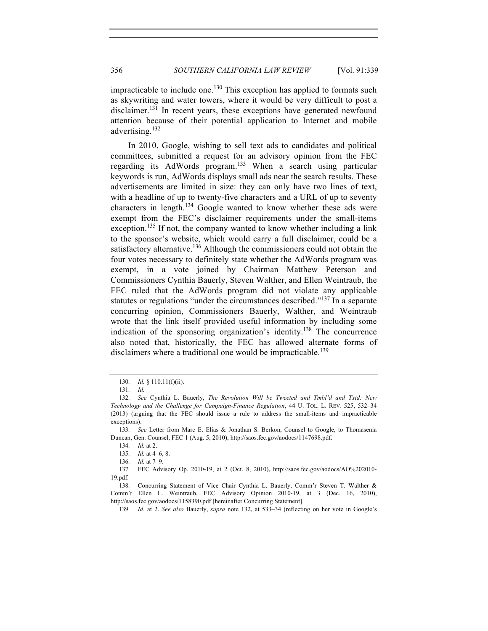impracticable to include one.<sup>130</sup> This exception has applied to formats such as skywriting and water towers, where it would be very difficult to post a disclaimer.<sup>131</sup> In recent years, these exceptions have generated newfound attention because of their potential application to Internet and mobile advertising.<sup>132</sup>

In 2010, Google, wishing to sell text ads to candidates and political committees, submitted a request for an advisory opinion from the FEC regarding its AdWords program.<sup>133</sup> When a search using particular keywords is run, AdWords displays small ads near the search results. These advertisements are limited in size: they can only have two lines of text, with a headline of up to twenty-five characters and a URL of up to seventy characters in length.<sup>134</sup> Google wanted to know whether these ads were exempt from the FEC's disclaimer requirements under the small-items exception.<sup>135</sup> If not, the company wanted to know whether including a link to the sponsor's website, which would carry a full disclaimer, could be a satisfactory alternative.<sup>136</sup> Although the commissioners could not obtain the four votes necessary to definitely state whether the AdWords program was exempt, in a vote joined by Chairman Matthew Peterson and Commissioners Cynthia Bauerly, Steven Walther, and Ellen Weintraub, the FEC ruled that the AdWords program did not violate any applicable statutes or regulations "under the circumstances described."<sup>137</sup> In a separate concurring opinion, Commissioners Bauerly, Walther, and Weintraub wrote that the link itself provided useful information by including some indication of the sponsoring organization's identity.<sup>138</sup> The concurrence also noted that, historically, the FEC has allowed alternate forms of disclaimers where a traditional one would be impracticable.<sup>139</sup>

<sup>130.</sup> *Id.* § 110.11(f)(ii).

<sup>131.</sup> *Id.*

<sup>132.</sup> *See* Cynthia L. Bauerly, *The Revolution Will be Tweeted and Tmbl'd and Txtd: New Technology and the Challenge for Campaign-Finance Regulation*, 44 U. TOL. L. REV. 525, 532–34 (2013) (arguing that the FEC should issue a rule to address the small-items and impracticable exceptions).

<sup>133.</sup> *See* Letter from Marc E. Elias & Jonathan S. Berkon, Counsel to Google, to Thomasenia Duncan, Gen. Counsel, FEC 1 (Aug. 5, 2010), http://saos.fec.gov/aodocs/1147698.pdf.

<sup>134.</sup> *Id.* at 2.

<sup>135.</sup> *Id.* at 4–6, 8.

<sup>136.</sup> *Id.* at 7–9.

<sup>137.</sup> FEC Advisory Op. 2010-19, at 2 (Oct. 8, 2010), http://saos.fec.gov/aodocs/AO%202010- 19.pdf.

<sup>138.</sup> Concurring Statement of Vice Chair Cynthia L. Bauerly, Comm'r Steven T. Walther & Comm'r Ellen L. Weintraub, FEC Advisory Opinion 2010-19, at 3 (Dec. 16, 2010), http://saos.fec.gov/aodocs/1158390.pdf [hereinafter Concurring Statement].

<sup>139.</sup> *Id.* at 2. *See also* Bauerly, *supra* note 132, at 533–34 (reflecting on her vote in Google's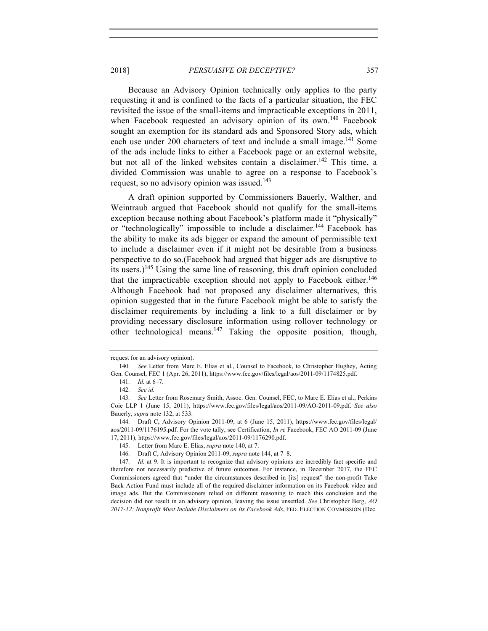Because an Advisory Opinion technically only applies to the party requesting it and is confined to the facts of a particular situation, the FEC revisited the issue of the small-items and impracticable exceptions in 2011, when Facebook requested an advisory opinion of its own.<sup>140</sup> Facebook sought an exemption for its standard ads and Sponsored Story ads, which each use under 200 characters of text and include a small image.<sup>141</sup> Some of the ads include links to either a Facebook page or an external website, but not all of the linked websites contain a disclaimer.<sup>142</sup> This time, a divided Commission was unable to agree on a response to Facebook's request, so no advisory opinion was issued.<sup>143</sup>

A draft opinion supported by Commissioners Bauerly, Walther, and Weintraub argued that Facebook should not qualify for the small-items exception because nothing about Facebook's platform made it "physically" or "technologically" impossible to include a disclaimer.<sup>144</sup> Facebook has the ability to make its ads bigger or expand the amount of permissible text to include a disclaimer even if it might not be desirable from a business perspective to do so.(Facebook had argued that bigger ads are disruptive to its users.)<sup>145</sup> Using the same line of reasoning, this draft opinion concluded that the impracticable exception should not apply to Facebook either.<sup>146</sup> Although Facebook had not proposed any disclaimer alternatives, this opinion suggested that in the future Facebook might be able to satisfy the disclaimer requirements by including a link to a full disclaimer or by providing necessary disclosure information using rollover technology or other technological means. $147$  Taking the opposite position, though,

request for an advisory opinion).

<sup>140.</sup> *See* Letter from Marc E. Elias et al., Counsel to Facebook, to Christopher Hughey, Acting Gen. Counsel, FEC 1 (Apr. 26, 2011), https://www.fec.gov/files/legal/aos/2011-09/1174825.pdf.

<sup>141.</sup> *Id.* at 6–7.

<sup>142.</sup> *See id.*

<sup>143.</sup> *See* Letter from Rosemary Smith, Assoc. Gen. Counsel, FEC, to Marc E. Elias et al., Perkins Coie LLP 1 (June 15, 2011), https://www.fec.gov/files/legal/aos/2011-09/AO-2011-09.pdf. *See also* Bauerly, *supra* note 132, at 533.

<sup>144.</sup> Draft C, Advisory Opinion 2011-09, at 6 (June 15, 2011), https://www.fec.gov/files/legal/ aos/2011-09/1176195.pdf. For the vote tally, see Certification, *In re* Facebook, FEC AO 2011-09 (June 17, 2011), https://www.fec.gov/files/legal/aos/2011-09/1176290.pdf.

<sup>145.</sup> Letter from Marc E. Elias, *supra* note 140, at 7.

<sup>146.</sup> Draft C, Advisory Opinion 2011-09, *supra* note 144, at 7–8.

<sup>147.</sup> *Id.* at 9. It is important to recognize that advisory opinions are incredibly fact specific and therefore not necessarily predictive of future outcomes. For instance, in December 2017, the FEC Commissioners agreed that "under the circumstances described in [its] request" the non-profit Take Back Action Fund must include all of the required disclaimer information on its Facebook video and image ads. But the Commissioners relied on different reasoning to reach this conclusion and the decision did not result in an advisory opinion, leaving the issue unsettled. *See* Christopher Berg, *AO 2017-12: Nonprofit Must Include Disclaimers on Its Facebook Ads*, FED. ELECTION COMMISSION (Dec.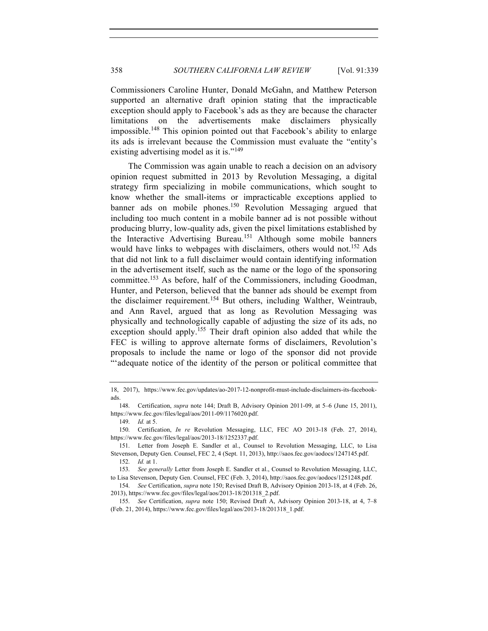Commissioners Caroline Hunter, Donald McGahn, and Matthew Peterson supported an alternative draft opinion stating that the impracticable exception should apply to Facebook's ads as they are because the character limitations on the advertisements make disclaimers physically impossible.<sup>148</sup> This opinion pointed out that Facebook's ability to enlarge its ads is irrelevant because the Commission must evaluate the "entity's existing advertising model as it is."<sup>149</sup>

The Commission was again unable to reach a decision on an advisory opinion request submitted in 2013 by Revolution Messaging, a digital strategy firm specializing in mobile communications, which sought to know whether the small-items or impracticable exceptions applied to banner ads on mobile phones.<sup>150</sup> Revolution Messaging argued that including too much content in a mobile banner ad is not possible without producing blurry, low-quality ads, given the pixel limitations established by the Interactive Advertising Bureau. <sup>151</sup> Although some mobile banners would have links to webpages with disclaimers, others would not.<sup>152</sup> Ads that did not link to a full disclaimer would contain identifying information in the advertisement itself, such as the name or the logo of the sponsoring committee.<sup>153</sup> As before, half of the Commissioners, including Goodman, Hunter, and Peterson, believed that the banner ads should be exempt from the disclaimer requirement.<sup>154</sup> But others, including Walther, Weintraub, and Ann Ravel, argued that as long as Revolution Messaging was physically and technologically capable of adjusting the size of its ads, no exception should apply.<sup>155</sup> Their draft opinion also added that while the FEC is willing to approve alternate forms of disclaimers, Revolution's proposals to include the name or logo of the sponsor did not provide "'adequate notice of the identity of the person or political committee that

<sup>18, 2017),</sup> https://www.fec.gov/updates/ao-2017-12-nonprofit-must-include-disclaimers-its-facebookads.

<sup>148.</sup> Certification, *supra* note 144; Draft B, Advisory Opinion 2011-09, at 5–6 (June 15, 2011), https://www.fec.gov/files/legal/aos/2011-09/1176020.pdf.

<sup>149.</sup> *Id.* at 5.

<sup>150.</sup> Certification, *In re* Revolution Messaging, LLC, FEC AO 2013-18 (Feb. 27, 2014), https://www.fec.gov/files/legal/aos/2013-18/1252337.pdf.

<sup>151.</sup> Letter from Joseph E. Sandler et al., Counsel to Revolution Messaging, LLC, to Lisa Stevenson, Deputy Gen. Counsel, FEC 2, 4 (Sept. 11, 2013), http://saos.fec.gov/aodocs/1247145.pdf. 152. *Id.* at 1.

<sup>153.</sup> *See generally* Letter from Joseph E. Sandler et al., Counsel to Revolution Messaging, LLC,

to Lisa Stevenson, Deputy Gen. Counsel, FEC (Feb. 3, 2014), http://saos.fec.gov/aodocs/1251248.pdf. 154. *See* Certification, *supra* note 150; Revised Draft B, Advisory Opinion 2013-18, at 4 (Feb. 26,

<sup>2013),</sup> https://www.fec.gov/files/legal/aos/2013-18/201318\_2.pdf.

<sup>155.</sup> *See* Certification, *supra* note 150; Revised Draft A, Advisory Opinion 2013-18, at 4, 7–8 (Feb. 21, 2014), https://www.fec.gov/files/legal/aos/2013-18/201318\_1.pdf.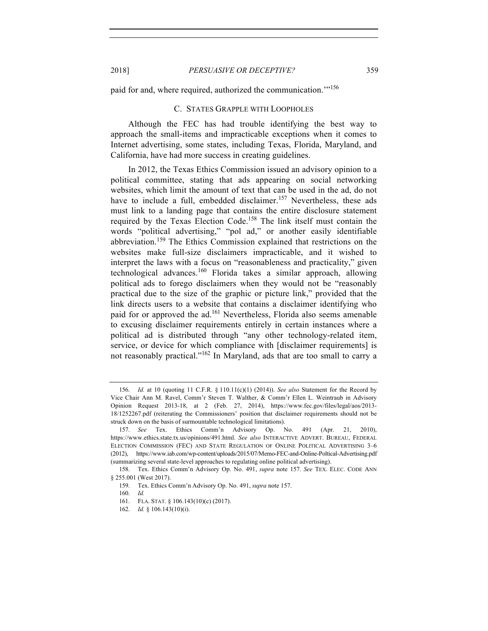paid for and, where required, authorized the communication."<sup>156</sup>

## C. STATES GRAPPLE WITH LOOPHOLES

Although the FEC has had trouble identifying the best way to approach the small-items and impracticable exceptions when it comes to Internet advertising, some states, including Texas, Florida, Maryland, and California, have had more success in creating guidelines.

In 2012, the Texas Ethics Commission issued an advisory opinion to a political committee, stating that ads appearing on social networking websites, which limit the amount of text that can be used in the ad, do not have to include a full, embedded disclaimer.<sup>157</sup> Nevertheless, these ads must link to a landing page that contains the entire disclosure statement required by the Texas Election Code.158 The link itself must contain the words "political advertising," "pol ad," or another easily identifiable abbreviation.<sup>159</sup> The Ethics Commission explained that restrictions on the websites make full-size disclaimers impracticable, and it wished to interpret the laws with a focus on "reasonableness and practicality," given technological advances.<sup>160</sup> Florida takes a similar approach, allowing political ads to forego disclaimers when they would not be "reasonably practical due to the size of the graphic or picture link," provided that the link directs users to a website that contains a disclaimer identifying who paid for or approved the ad.<sup>161</sup> Nevertheless, Florida also seems amenable to excusing disclaimer requirements entirely in certain instances where a political ad is distributed through "any other technology-related item, service, or device for which compliance with [disclaimer requirements] is not reasonably practical."<sup>162</sup> In Maryland, ads that are too small to carry a

<sup>156.</sup> *Id.* at 10 (quoting 11 C.F.R. § 110.11(c)(1) (2014)). *See also* Statement for the Record by Vice Chair Ann M. Ravel, Comm'r Steven T. Walther, & Comm'r Ellen L. Weintraub in Advisory Opinion Request 2013-18, at 2 (Feb. 27, 2014), https://www.fec.gov/files/legal/aos/2013- 18/1252267.pdf (reiterating the Commissioners' position that disclaimer requirements should not be struck down on the basis of surmountable technological limitations).

<sup>157.</sup> *See* Tex. Ethics Comm'n Advisory Op. No. 491 (Apr. 21, 2010), https://www.ethics.state.tx.us/opinions/491.html. *See also* INTERACTIVE ADVERT. BUREAU, FEDERAL ELECTION COMMISSION (FEC) AND STATE REGULATION OF ONLINE POLITICAL ADVERTISING 3–6 (2012), https://www.iab.com/wp-content/uploads/2015/07/Memo-FEC-and-Online-Poltical-Advertising.pdf (summarizing several state-level approaches to regulating online political advertising).

<sup>158.</sup> Tex. Ethics Comm'n Advisory Op. No. 491, *supra* note 157. *See* TEX. ELEC. CODE ANN § 255.001 (West 2017).

<sup>159.</sup> Tex. Ethics Comm'n Advisory Op. No. 491, *supra* note 157.

<sup>160.</sup> *Id.*

<sup>161.</sup> FLA. STAT. § 106.143(10)(c) (2017).

<sup>162.</sup> *Id.* § 106.143(10)(i).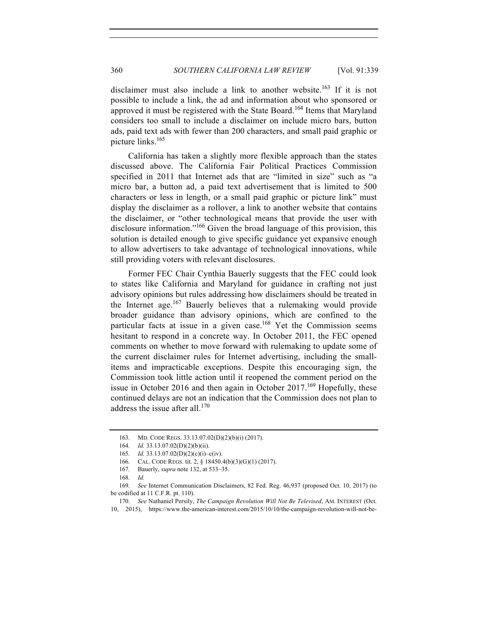disclaimer must also include a link to another website.<sup>163</sup> If it is not possible to include a link, the ad and information about who sponsored or approved it must be registered with the State Board.<sup>164</sup> Items that Maryland considers too small to include a disclaimer on include micro bars, button ads, paid text ads with fewer than 200 characters, and small paid graphic or picture links.165

California has taken a slightly more flexible approach than the states discussed above. The California Fair Political Practices Commission specified in 2011 that Internet ads that are "limited in size" such as "a micro bar, a button ad, a paid text advertisement that is limited to 500 characters or less in length, or a small paid graphic or picture link" must display the disclaimer as a rollover, a link to another website that contains the disclaimer, or "other technological means that provide the user with disclosure information."<sup>166</sup> Given the broad language of this provision, this solution is detailed enough to give specific guidance yet expansive enough to allow advertisers to take advantage of technological innovations, while still providing voters with relevant disclosures.

Former FEC Chair Cynthia Bauerly suggests that the FEC could look to states like California and Maryland for guidance in crafting not just advisory opinions but rules addressing how disclaimers should be treated in the Internet age.<sup>167</sup> Bauerly believes that a rulemaking would provide broader guidance than advisory opinions, which are confined to the particular facts at issue in a given case.<sup>168</sup> Yet the Commission seems hesitant to respond in a concrete way. In October 2011, the FEC opened comments on whether to move forward with rulemaking to update some of the current disclaimer rules for Internet advertising, including the smallitems and impracticable exceptions. Despite this encouraging sign, the Commission took little action until it reopened the comment period on the issue in October 2016 and then again in October  $2017$ .<sup>169</sup> Hopefully, these continued delays are not an indication that the Commission does not plan to address the issue after all.<sup>170</sup>

<sup>163.</sup> MD. CODE REGS. 33.13.07.02(D)(2)(b)(i) (2017).

<sup>164.</sup> *Id.* 33.13.07.02(D)(2)(b)(ii).

<sup>165.</sup> *Id.* 33.13.07.02(D)(2)(c)(i)–c(iv).

<sup>166.</sup> CAL. CODE REGS. tit. 2, § 18450.4(b)(3)(G)(1) (2017).

<sup>167.</sup> Bauerly, *supra* note 132, at 533–35.

<sup>168.</sup> *Id.*

<sup>169.</sup> *See* Internet Communication Disclaimers, 82 Fed. Reg. 46,937 (proposed Oct. 10, 2017) (to be codified at 11 C.F.R. pt. 110).

<sup>170.</sup> *See* Nathaniel Persily, *The Campaign Revolution Will Not Be Televised*, AM. INTEREST (Oct. 10, 2015), https://www.the-american-interest.com/2015/10/10/the-campaign-revolution-will-not-be-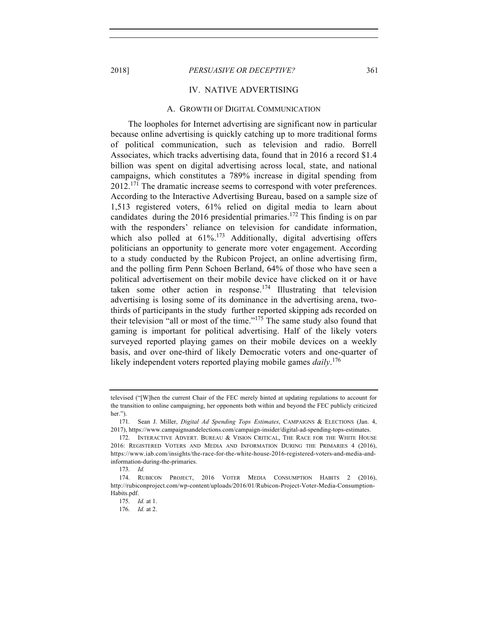#### IV. NATIVE ADVERTISING

## A. GROWTH OF DIGITAL COMMUNICATION

The loopholes for Internet advertising are significant now in particular because online advertising is quickly catching up to more traditional forms of political communication, such as television and radio. Borrell Associates, which tracks advertising data, found that in 2016 a record \$1.4 billion was spent on digital advertising across local, state, and national campaigns, which constitutes a 789% increase in digital spending from  $2012$ <sup> $171$ </sup>. The dramatic increase seems to correspond with voter preferences. According to the Interactive Advertising Bureau, based on a sample size of 1,513 registered voters, 61% relied on digital media to learn about candidates during the 2016 presidential primaries.<sup>172</sup> This finding is on par with the responders' reliance on television for candidate information, which also polled at  $61\%$ .<sup>173</sup> Additionally, digital advertising offers politicians an opportunity to generate more voter engagement. According to a study conducted by the Rubicon Project, an online advertising firm, and the polling firm Penn Schoen Berland, 64% of those who have seen a political advertisement on their mobile device have clicked on it or have taken some other action in response.<sup>174</sup> Illustrating that television advertising is losing some of its dominance in the advertising arena, twothirds of participants in the study further reported skipping ads recorded on their television "all or most of the time."<sup>175</sup> The same study also found that gaming is important for political advertising. Half of the likely voters surveyed reported playing games on their mobile devices on a weekly basis, and over one-third of likely Democratic voters and one-quarter of likely independent voters reported playing mobile games *daily*. 176

televised ("[W]hen the current Chair of the FEC merely hinted at updating regulations to account for the transition to online campaigning, her opponents both within and beyond the FEC publicly criticized her.").

<sup>171.</sup> Sean J. Miller, *Digital Ad Spending Tops Estimates*, CAMPAIGNS & ELECTIONS (Jan. 4, 2017), https://www.campaignsandelections.com/campaign-insider/digital-ad-spending-tops-estimates.

<sup>172.</sup> INTERACTIVE ADVERT. BUREAU & VISION CRITICAL, THE RACE FOR THE WHITE HOUSE 2016: REGISTERED VOTERS AND MEDIA AND INFORMATION DURING THE PRIMARIES 4 (2016), https://www.iab.com/insights/the-race-for-the-white-house-2016-registered-voters-and-media-andinformation-during-the-primaries.

<sup>173.</sup> *Id.*

<sup>174.</sup> RUBICON PROJECT, 2016 VOTER MEDIA CONSUMPTION HABITS 2 (2016), http://rubiconproject.com/wp-content/uploads/2016/01/Rubicon-Project-Voter-Media-Consumption-Habits.pdf.

<sup>175.</sup> *Id.* at 1.

<sup>176.</sup> *Id.* at 2.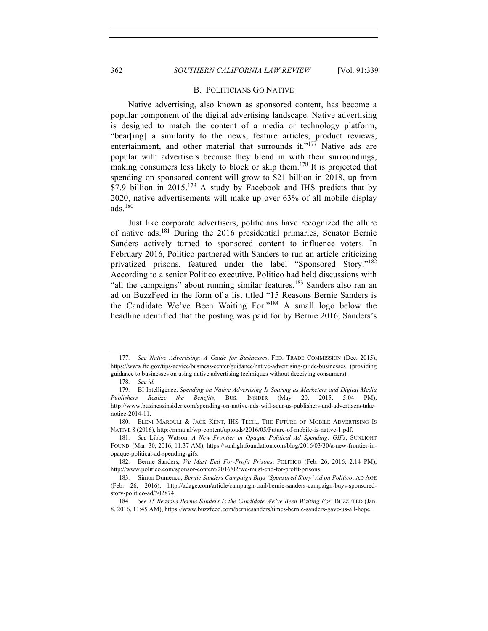# 362 *SOUTHERN CALIFORNIA LAW REVIEW* [Vol. 91:339

#### B. POLITICIANS GO NATIVE

Native advertising, also known as sponsored content, has become a popular component of the digital advertising landscape. Native advertising is designed to match the content of a media or technology platform, "bear[ing] a similarity to the news, feature articles, product reviews, entertainment, and other material that surrounds it."<sup>177</sup> Native ads are popular with advertisers because they blend in with their surroundings, making consumers less likely to block or skip them.<sup>178</sup> It is projected that spending on sponsored content will grow to \$21 billion in 2018, up from \$7.9 billion in 2015.<sup>179</sup> A study by Facebook and IHS predicts that by 2020, native advertisements will make up over 63% of all mobile display ads.<sup>180</sup>

Just like corporate advertisers, politicians have recognized the allure of native ads.<sup>181</sup> During the 2016 presidential primaries, Senator Bernie Sanders actively turned to sponsored content to influence voters. In February 2016, Politico partnered with Sanders to run an article criticizing privatized prisons, featured under the label "Sponsored Story."<sup>182</sup> According to a senior Politico executive, Politico had held discussions with "all the campaigns" about running similar features.<sup>183</sup> Sanders also ran an ad on BuzzFeed in the form of a list titled "15 Reasons Bernie Sanders is the Candidate We've Been Waiting For."<sup>184</sup> A small logo below the headline identified that the posting was paid for by Bernie 2016, Sanders's

<sup>177.</sup> *See Native Advertising: A Guide for Businesses*, FED. TRADE COMMISSION (Dec. 2015), https://www.ftc.gov/tips-advice/business-center/guidance/native-advertising-guide-businesses (providing guidance to businesses on using native advertising techniques without deceiving consumers).

<sup>178.</sup> *See id.*

<sup>179.</sup> BI Intelligence, *Spending on Native Advertising Is Soaring as Marketers and Digital Media Publishers Realize the Benefits*, BUS. INSIDER (May 20, 2015, 5:04 PM), http://www.businessinsider.com/spending-on-native-ads-will-soar-as-publishers-and-advertisers-takenotice-2014-11.

<sup>180.</sup> ELENI MAROULI & JACK KENT, IHS TECH., THE FUTURE OF MOBILE ADVERTISING IS NATIVE 8 (2016), http://mma.nl/wp-content/uploads/2016/05/Future-of-mobile-is-native-1.pdf.

<sup>181.</sup> *See* Libby Watson, *A New Frontier in Opaque Political Ad Spending: GIFs*, SUNLIGHT FOUND. (Mar. 30, 2016, 11:37 AM), https://sunlightfoundation.com/blog/2016/03/30/a-new-frontier-inopaque-political-ad-spending-gifs.

<sup>182.</sup> Bernie Sanders, *We Must End For-Profit Prisons*, POLITICO (Feb. 26, 2016, 2:14 PM), http://www.politico.com/sponsor-content/2016/02/we-must-end-for-profit-prisons.

<sup>183.</sup> Simon Dumenco, *Bernie Sanders Campaign Buys 'Sponsored Story' Ad on Politico*, AD AGE (Feb. 26, 2016), http://adage.com/article/campaign-trail/bernie-sanders-campaign-buys-sponsoredstory-politico-ad/302874.

<sup>184.</sup> *See 15 Reasons Bernie Sanders Is the Candidate We've Been Waiting For*, BUZZFEED (Jan. 8, 2016, 11:45 AM), https://www.buzzfeed.com/berniesanders/times-bernie-sanders-gave-us-all-hope.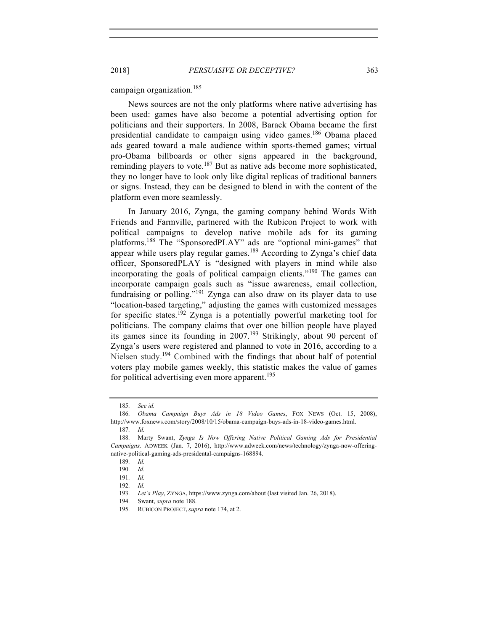campaign organization. 185

News sources are not the only platforms where native advertising has been used: games have also become a potential advertising option for politicians and their supporters. In 2008, Barack Obama became the first presidential candidate to campaign using video games.<sup>186</sup> Obama placed ads geared toward a male audience within sports-themed games; virtual pro-Obama billboards or other signs appeared in the background, reminding players to vote.<sup>187</sup> But as native ads become more sophisticated, they no longer have to look only like digital replicas of traditional banners or signs. Instead, they can be designed to blend in with the content of the platform even more seamlessly.

In January 2016, Zynga, the gaming company behind Words With Friends and Farmville, partnered with the Rubicon Project to work with political campaigns to develop native mobile ads for its gaming platforms.<sup>188</sup> The "SponsoredPLAY" ads are "optional mini-games" that appear while users play regular games.<sup>189</sup> According to Zynga's chief data officer, SponsoredPLAY is "designed with players in mind while also incorporating the goals of political campaign clients."<sup>190</sup> The games can incorporate campaign goals such as "issue awareness, email collection, fundraising or polling."191 Zynga can also draw on its player data to use "location-based targeting," adjusting the games with customized messages for specific states.<sup>192</sup> Zynga is a potentially powerful marketing tool for politicians. The company claims that over one billion people have played its games since its founding in 2007.<sup>193</sup> Strikingly, about 90 percent of Zynga's users were registered and planned to vote in 2016, according to a Nielsen study.<sup>194</sup> Combined with the findings that about half of potential voters play mobile games weekly, this statistic makes the value of games for political advertising even more apparent.<sup>195</sup>

<sup>185.</sup> *See id.* 

<sup>186.</sup> *Obama Campaign Buys Ads in 18 Video Games*, FOX NEWS (Oct. 15, 2008), http://www.foxnews.com/story/2008/10/15/obama-campaign-buys-ads-in-18-video-games.html.

<sup>187.</sup> *Id.*

<sup>188.</sup> Marty Swant, *Zynga Is Now Offering Native Political Gaming Ads for Presidential Campaigns,* ADWEEK (Jan. 7, 2016), http://www.adweek.com/news/technology/zynga-now-offeringnative-political-gaming-ads-presidental-campaigns-168894.

<sup>189.</sup> *Id.*

<sup>190.</sup> *Id.*

<sup>191.</sup> *Id.*

<sup>192.</sup> *Id.*

<sup>193.</sup> *Let's Play*, ZYNGA, https://www.zynga.com/about (last visited Jan. 26, 2018).

<sup>194.</sup> Swant, *supra* note 188.

<sup>195.</sup> RUBICON PROJECT, *supra* note 174, at 2.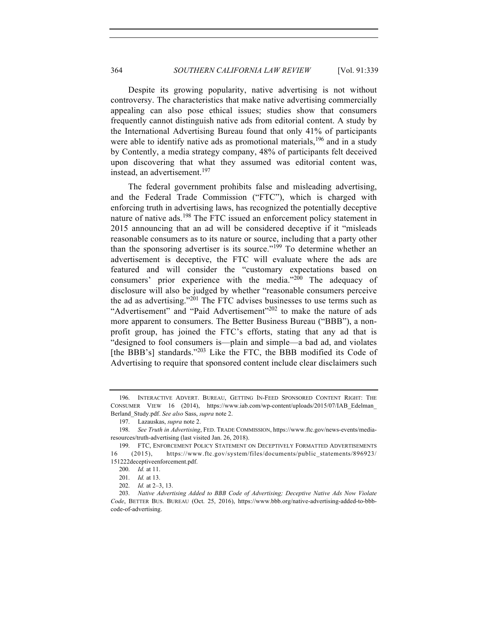Despite its growing popularity, native advertising is not without controversy. The characteristics that make native advertising commercially appealing can also pose ethical issues; studies show that consumers frequently cannot distinguish native ads from editorial content. A study by the International Advertising Bureau found that only 41% of participants were able to identify native ads as promotional materials, <sup>196</sup> and in a study by Contently, a media strategy company, 48% of participants felt deceived upon discovering that what they assumed was editorial content was, instead, an advertisement.<sup>197</sup>

The federal government prohibits false and misleading advertising, and the Federal Trade Commission ("FTC"), which is charged with enforcing truth in advertising laws, has recognized the potentially deceptive nature of native ads.<sup>198</sup> The FTC issued an enforcement policy statement in 2015 announcing that an ad will be considered deceptive if it "misleads reasonable consumers as to its nature or source, including that a party other than the sponsoring advertiser is its source."<sup>199</sup> To determine whether an advertisement is deceptive, the FTC will evaluate where the ads are featured and will consider the "customary expectations based on consumers' prior experience with the media."<sup>200</sup> The adequacy of disclosure will also be judged by whether "reasonable consumers perceive the ad as advertising."<sup>201</sup> The FTC advises businesses to use terms such as "Advertisement" and "Paid Advertisement"<sup>202</sup> to make the nature of ads more apparent to consumers. The Better Business Bureau ("BBB"), a nonprofit group, has joined the FTC's efforts, stating that any ad that is "designed to fool consumers is—plain and simple—a bad ad, and violates [the BBB's] standards."<sup>203</sup> Like the FTC, the BBB modified its Code of Advertising to require that sponsored content include clear disclaimers such

<sup>196.</sup> INTERACTIVE ADVERT. BUREAU, GETTING IN-FEED SPONSORED CONTENT RIGHT: THE CONSUMER VIEW 16 (2014), https://www.iab.com/wp-content/uploads/2015/07/IAB\_Edelman\_ Berland\_Study.pdf. *See also* Sass, *supra* note 2.

<sup>197.</sup> Lazauskas, *supra* note 2.

<sup>198.</sup> *See Truth in Advertising*, FED. TRADE COMMISSION, https://www.ftc.gov/news-events/mediaresources/truth-advertising (last visited Jan. 26, 2018).

<sup>199.</sup> FTC, ENFORCEMENT POLICY STATEMENT ON DECEPTIVELY FORMATTED ADVERTISEMENTS 16 (2015), https://www.ftc.gov/system/files/documents/public\_statements/896923/ 151222deceptiveenforcement.pdf.

<sup>200.</sup> *Id.* at 11.

<sup>201.</sup> *Id.* at 13.

<sup>202.</sup> *Id.* at 2–3, 13.

<sup>203.</sup> *Native Advertising Added to BBB Code of Advertising; Deceptive Native Ads Now Violate Code*, BETTER BUS. BUREAU (Oct. 25, 2016), https://www.bbb.org/native-advertising-added-to-bbbcode-of-advertising.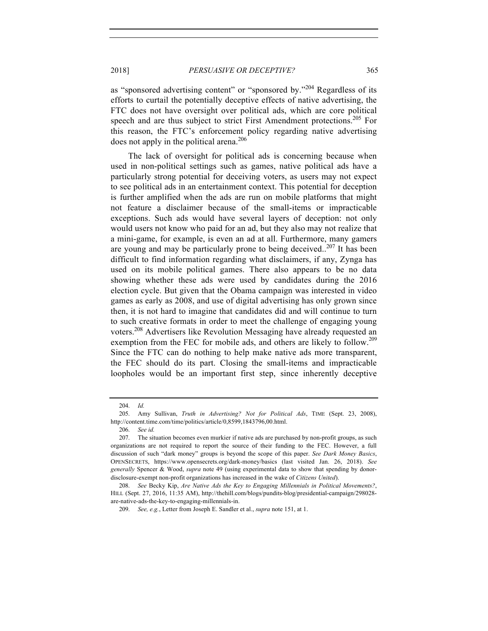as "sponsored advertising content" or "sponsored by."<sup>204</sup> Regardless of its efforts to curtail the potentially deceptive effects of native advertising, the FTC does not have oversight over political ads, which are core political speech and are thus subject to strict First Amendment protections.<sup>205</sup> For this reason, the FTC's enforcement policy regarding native advertising does not apply in the political arena.<sup>206</sup>

The lack of oversight for political ads is concerning because when used in non-political settings such as games, native political ads have a particularly strong potential for deceiving voters, as users may not expect to see political ads in an entertainment context. This potential for deception is further amplified when the ads are run on mobile platforms that might not feature a disclaimer because of the small-items or impracticable exceptions. Such ads would have several layers of deception: not only would users not know who paid for an ad, but they also may not realize that a mini-game, for example, is even an ad at all. Furthermore, many gamers are young and may be particularly prone to being deceived..<sup>207</sup> It has been difficult to find information regarding what disclaimers, if any, Zynga has used on its mobile political games. There also appears to be no data showing whether these ads were used by candidates during the 2016 election cycle. But given that the Obama campaign was interested in video games as early as 2008, and use of digital advertising has only grown since then, it is not hard to imagine that candidates did and will continue to turn to such creative formats in order to meet the challenge of engaging young voters.<sup>208</sup> Advertisers like Revolution Messaging have already requested an exemption from the FEC for mobile ads, and others are likely to follow.<sup>209</sup> Since the FTC can do nothing to help make native ads more transparent, the FEC should do its part. Closing the small-items and impracticable loopholes would be an important first step, since inherently deceptive

<sup>204.</sup> *Id.*

<sup>205.</sup> Amy Sullivan, *Truth in Advertising? Not for Political Ads*, TIME (Sept. 23, 2008), http://content.time.com/time/politics/article/0,8599,1843796,00.html.

<sup>206.</sup> *See id.*

<sup>207.</sup> The situation becomes even murkier if native ads are purchased by non-profit groups, as such organizations are not required to report the source of their funding to the FEC. However, a full discussion of such "dark money" groups is beyond the scope of this paper. *See Dark Money Basics*, OPENSECRETS, https://www.opensecrets.org/dark-money/basics (last visited Jan. 26, 2018). *See generally* Spencer & Wood, *supra* note 49 (using experimental data to show that spending by donordisclosure-exempt non-profit organizations has increased in the wake of *Citizens United*).

<sup>208.</sup> *See* Becky Kip, *Are Native Ads the Key to Engaging Millennials in Political Movements?*, HILL (Sept. 27, 2016, 11:35 AM), http://thehill.com/blogs/pundits-blog/presidential-campaign/298028 are-native-ads-the-key-to-engaging-millennials-in.

<sup>209.</sup> *See, e.g.*, Letter from Joseph E. Sandler et al., *supra* note 151, at 1.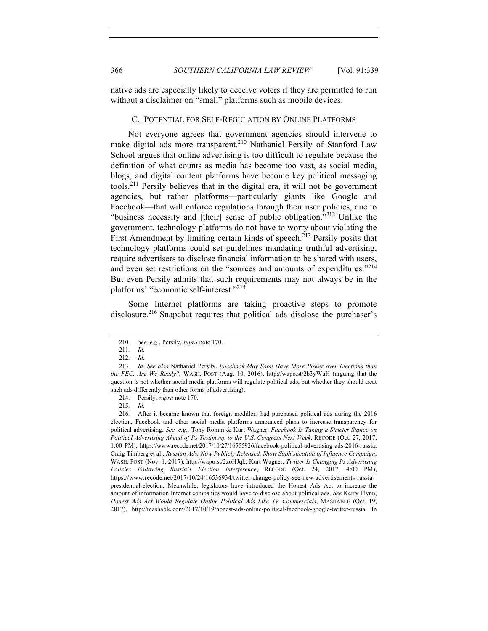native ads are especially likely to deceive voters if they are permitted to run without a disclaimer on "small" platforms such as mobile devices.

## C. POTENTIAL FOR SELF-REGULATION BY ONLINE PLATFORMS

Not everyone agrees that government agencies should intervene to make digital ads more transparent. <sup>210</sup> Nathaniel Persily of Stanford Law School argues that online advertising is too difficult to regulate because the definition of what counts as media has become too vast, as social media, blogs, and digital content platforms have become key political messaging tools.<sup>211</sup> Persily believes that in the digital era, it will not be government agencies, but rather platforms—particularly giants like Google and Facebook—that will enforce regulations through their user policies, due to "business necessity and [their] sense of public obligation."<sup>212</sup> Unlike the government, technology platforms do not have to worry about violating the First Amendment by limiting certain kinds of speech.<sup>213</sup> Persily posits that technology platforms could set guidelines mandating truthful advertising, require advertisers to disclose financial information to be shared with users, and even set restrictions on the "sources and amounts of expenditures."<sup>214</sup> But even Persily admits that such requirements may not always be in the platforms' "economic self-interest."<sup>215</sup>

Some Internet platforms are taking proactive steps to promote disclosure.<sup>216</sup> Snapchat requires that political ads disclose the purchaser's

<sup>210.</sup> *See, e.g.*, Persily, *supra* note 170.

<sup>211.</sup> *Id.*

<sup>212.</sup> *Id.*

<sup>213.</sup> *Id. See also* Nathaniel Persily, *Facebook May Soon Have More Power over Elections than the FEC. Are We Ready?*, WASH. POST (Aug. 10, 2016), http://wapo.st/2b3yWuH (arguing that the question is not whether social media platforms will regulate political ads, but whether they should treat such ads differently than other forms of advertising).

<sup>214.</sup> Persily, *supra* note 170.

<sup>215.</sup> *Id.*

<sup>216.</sup> After it became known that foreign meddlers had purchased political ads during the 2016 election, Facebook and other social media platforms announced plans to increase transparency for political advertising. *See, e.g.*, Tony Romm & Kurt Wagner, *Facebook Is Taking a Stricter Stance on Political Advertising Ahead of Its Testimony to the U.S. Congress Next Week*, RECODE (Oct. 27, 2017, 1:00 PM), https://www.recode.net/2017/10/27/16555926/facebook-political-advertising-ads-2016-russia; Craig Timberg et al., *Russian Ads, Now Publicly Released, Show Sophistication of Influence Campaign*, WASH. POST (Nov. 1, 2017), http://wapo.st/2zoHJqk; Kurt Wagner, *Twitter Is Changing Its Advertising Policies Following Russia's Election Interference*, RECODE (Oct. 24, 2017, 4:00 PM), https://www.recode.net/2017/10/24/16536934/twitter-change-policy-see-new-advertisements-russiapresidential-election. Meanwhile, legislators have introduced the Honest Ads Act to increase the amount of information Internet companies would have to disclose about political ads. *See* Kerry Flynn, *Honest Ads Act Would Regulate Online Political Ads Like TV Commercials*, MASHABLE (Oct. 19, 2017), http://mashable.com/2017/10/19/honest-ads-online-political-facebook-google-twitter-russia. In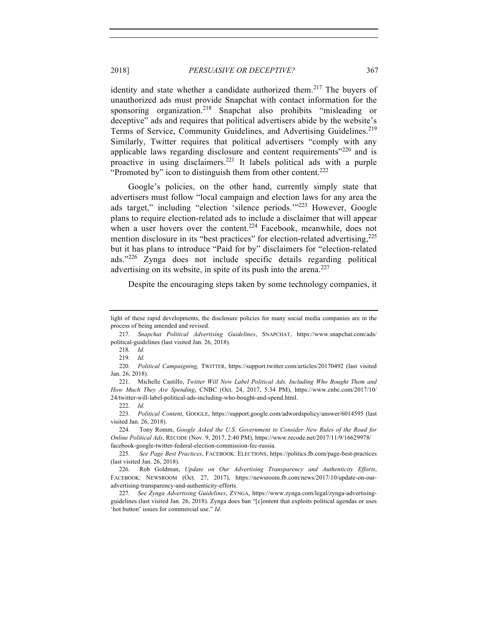identity and state whether a candidate authorized them.<sup>217</sup> The buyers of unauthorized ads must provide Snapchat with contact information for the sponsoring organization.<sup>218</sup> Snapchat also prohibits "misleading or deceptive" ads and requires that political advertisers abide by the website's Terms of Service, Community Guidelines, and Advertising Guidelines.<sup>219</sup> Similarly, Twitter requires that political advertisers "comply with any applicable laws regarding disclosure and content requirements"<sup>220</sup> and is proactive in using disclaimers.221 It labels political ads with a purple "Promoted by" icon to distinguish them from other content.<sup>222</sup>

Google's policies, on the other hand, currently simply state that advertisers must follow "local campaign and election laws for any area the ads target," including "election 'silence periods.'"<sup>223</sup> However, Google plans to require election-related ads to include a disclaimer that will appear when a user hovers over the content.<sup>224</sup> Facebook, meanwhile, does not mention disclosure in its "best practices" for election-related advertising,<sup>225</sup> but it has plans to introduce "Paid for by" disclaimers for "election-related ads."<sup>226</sup> Zynga does not include specific details regarding political advertising on its website, in spite of its push into the arena.<sup>227</sup>

Despite the encouraging steps taken by some technology companies, it

light of these rapid developments, the disclosure policies for many social media companies are in the process of being amended and revised.

<sup>217.</sup> *Snapchat Political Advertising Guidelines*, SNAPCHAT, https://www.snapchat.com/ads/ political-guidelines (last visited Jan. 26, 2018).

<sup>218.</sup> *Id.*

<sup>219.</sup> *Id.*

<sup>220.</sup> *Political Campaigning,* TWITTER, https://support.twitter.com/articles/20170492 (last visited Jan. 26, 2018).

<sup>221.</sup> Michelle Castillo, *Twitter Will Now Label Political Ads, Including Who Bought Them and How Much They Are Spending*, CNBC (Oct. 24, 2017, 5:34 PM), https://www.cnbc.com/2017/10/ 24/twitter-will-label-political-ads-including-who-bought-and-spend.html.

<sup>222.</sup> *Id.*

<sup>223.</sup> *Political Content*, GOOGLE, https://support.google.com/adwordspolicy/answer/6014595 (last visited Jan. 26, 2018).

<sup>224.</sup> Tony Romm, *Google Asked the U.S. Government to Consider New Rules of the Road for Online Political Ads*, RECODE (Nov. 9, 2017, 2:40 PM), https://www.recode.net/2017/11/9/16629978/ facebook-google-twitter-federal-election-commission-fec-russia.

<sup>225.</sup> *See Page Best Practices*, FACEBOOK: ELECTIONS, https://politics.fb.com/page-best-practices (last visited Jan. 26, 2018).

<sup>226.</sup> Rob Goldman, *Update on Our Advertising Transparency and Authenticity Efforts*, FACEBOOK: NEWSROOM (Oct. 27, 2017), https://newsroom.fb.com/news/2017/10/update-on-ouradvertising-transparency-and-authenticity-efforts.

<sup>227.</sup> *See Zynga Advertising Guidelines*, ZYNGA, https://www.zynga.com/legal/zynga-advertisingguidelines (last visited Jan. 26, 2018). Zynga does ban "[c]ontent that exploits political agendas or uses 'hot button' issues for commercial use." *Id*.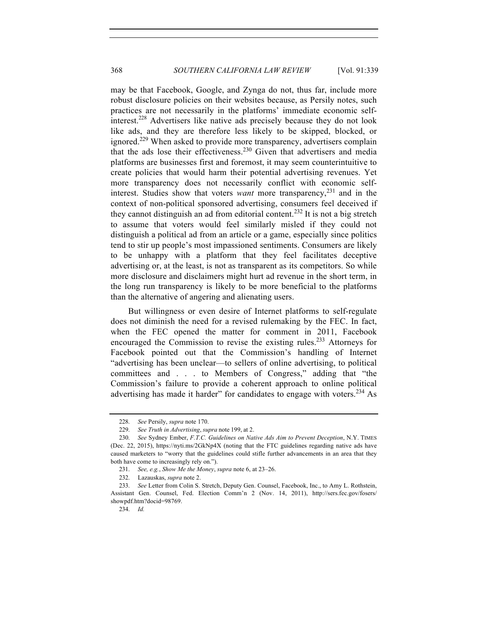may be that Facebook, Google, and Zynga do not, thus far, include more robust disclosure policies on their websites because, as Persily notes, such practices are not necessarily in the platforms' immediate economic selfinterest.<sup>228</sup> Advertisers like native ads precisely because they do not look like ads, and they are therefore less likely to be skipped, blocked, or ignored.<sup>229</sup> When asked to provide more transparency, advertisers complain that the ads lose their effectiveness.<sup>230</sup> Given that advertisers and media platforms are businesses first and foremost, it may seem counterintuitive to create policies that would harm their potential advertising revenues. Yet more transparency does not necessarily conflict with economic selfinterest. Studies show that voters *want* more transparency, <sup>231</sup> and in the context of non-political sponsored advertising, consumers feel deceived if they cannot distinguish an ad from editorial content.<sup>232</sup> It is not a big stretch to assume that voters would feel similarly misled if they could not distinguish a political ad from an article or a game, especially since politics tend to stir up people's most impassioned sentiments. Consumers are likely to be unhappy with a platform that they feel facilitates deceptive advertising or, at the least, is not as transparent as its competitors. So while more disclosure and disclaimers might hurt ad revenue in the short term, in the long run transparency is likely to be more beneficial to the platforms than the alternative of angering and alienating users.

But willingness or even desire of Internet platforms to self-regulate does not diminish the need for a revised rulemaking by the FEC. In fact, when the FEC opened the matter for comment in 2011, Facebook encouraged the Commission to revise the existing rules.233 Attorneys for Facebook pointed out that the Commission's handling of Internet "advertising has been unclear—to sellers of online advertising, to political committees and . . . to Members of Congress," adding that "the Commission's failure to provide a coherent approach to online political advertising has made it harder" for candidates to engage with voters.<sup>234</sup> As

<sup>228.</sup> *See* Persily, *supra* note 170.

<sup>229.</sup> *See Truth in Advertising*, *supra* note 199, at 2.

<sup>230.</sup> *See* Sydney Ember, *F.T.C. Guidelines on Native Ads Aim to Prevent Deception*, N.Y. TIMES (Dec. 22, 2015), https://nyti.ms/2GkNp4X (noting that the FTC guidelines regarding native ads have caused marketers to "worry that the guidelines could stifle further advancements in an area that they both have come to increasingly rely on.").

<sup>231.</sup> *See, e.g.*, *Show Me the Money*, *supra* note 6, at 23–26.

<sup>232.</sup> Lazauskas, *supra* note 2.

<sup>233.</sup> *See* Letter from Colin S. Stretch, Deputy Gen. Counsel, Facebook, Inc., to Amy L. Rothstein, Assistant Gen. Counsel, Fed. Election Comm'n 2 (Nov. 14, 2011), http://sers.fec.gov/fosers/ showpdf.htm?docid=98769.

<sup>234.</sup> *Id.*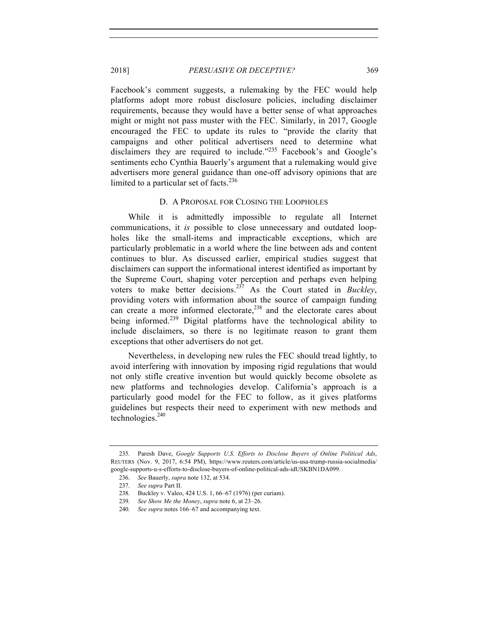Facebook's comment suggests, a rulemaking by the FEC would help platforms adopt more robust disclosure policies, including disclaimer requirements, because they would have a better sense of what approaches might or might not pass muster with the FEC. Similarly, in 2017, Google encouraged the FEC to update its rules to "provide the clarity that campaigns and other political advertisers need to determine what disclaimers they are required to include."<sup>235</sup> Facebook's and Google's sentiments echo Cynthia Bauerly's argument that a rulemaking would give advertisers more general guidance than one-off advisory opinions that are limited to a particular set of facts.<sup>236</sup>

## D. A PROPOSAL FOR CLOSING THE LOOPHOLES

While it is admittedly impossible to regulate all Internet communications, it *is* possible to close unnecessary and outdated loopholes like the small-items and impracticable exceptions, which are particularly problematic in a world where the line between ads and content continues to blur. As discussed earlier, empirical studies suggest that disclaimers can support the informational interest identified as important by the Supreme Court, shaping voter perception and perhaps even helping voters to make better decisions.<sup>237</sup> As the Court stated in *Buckley*, providing voters with information about the source of campaign funding can create a more informed electorate, <sup>238</sup> and the electorate cares about being informed.<sup>239</sup> Digital platforms have the technological ability to include disclaimers, so there is no legitimate reason to grant them exceptions that other advertisers do not get.

Nevertheless, in developing new rules the FEC should tread lightly, to avoid interfering with innovation by imposing rigid regulations that would not only stifle creative invention but would quickly become obsolete as new platforms and technologies develop. California's approach is a particularly good model for the FEC to follow, as it gives platforms guidelines but respects their need to experiment with new methods and technologies.<sup>240</sup>

<sup>235.</sup> Paresh Dave, *Google Supports U.S. Efforts to Disclose Buyers of Online Political Ads*, REUTERS (Nov. 9, 2017, 6:54 PM), https://www.reuters.com/article/us-usa-trump-russia-socialmedia/ google-supports-u-s-efforts-to-disclose-buyers-of-online-political-ads-idUSKBN1DA099.

<sup>236.</sup> *See* Bauerly, *supra* note 132, at 534.

<sup>237.</sup> *See supra* Part II.

<sup>238.</sup> Buckley v. Valeo, 424 U.S. 1, 66–67 (1976) (per curiam).

<sup>239.</sup> *See Show Me the Money*, *supra* note 6, at 23–26.

<sup>240.</sup> *See supra* notes 166–67 and accompanying text.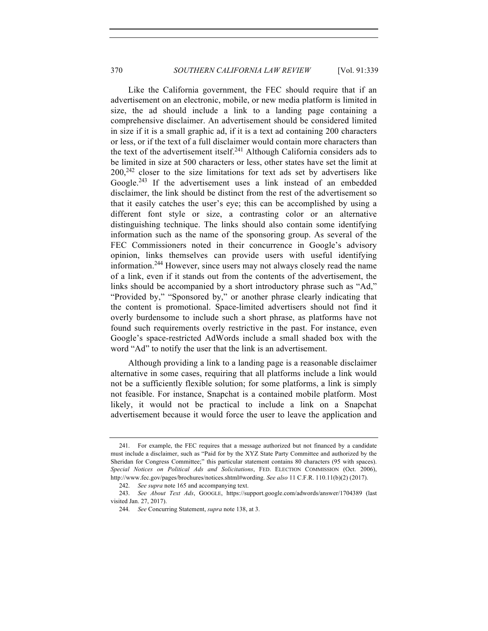Like the California government, the FEC should require that if an advertisement on an electronic, mobile, or new media platform is limited in size, the ad should include a link to a landing page containing a comprehensive disclaimer. An advertisement should be considered limited in size if it is a small graphic ad, if it is a text ad containing 200 characters or less, or if the text of a full disclaimer would contain more characters than the text of the advertisement itself.<sup>241</sup> Although California considers ads to be limited in size at 500 characters or less, other states have set the limit at  $200$ ,  $242$  closer to the size limitations for text ads set by advertisers like Google.<sup>243</sup> If the advertisement uses a link instead of an embedded disclaimer, the link should be distinct from the rest of the advertisement so that it easily catches the user's eye; this can be accomplished by using a different font style or size, a contrasting color or an alternative distinguishing technique. The links should also contain some identifying information such as the name of the sponsoring group. As several of the FEC Commissioners noted in their concurrence in Google's advisory opinion, links themselves can provide users with useful identifying information.<sup>244</sup> However, since users may not always closely read the name of a link, even if it stands out from the contents of the advertisement, the links should be accompanied by a short introductory phrase such as "Ad," "Provided by," "Sponsored by," or another phrase clearly indicating that the content is promotional. Space-limited advertisers should not find it overly burdensome to include such a short phrase, as platforms have not found such requirements overly restrictive in the past. For instance, even Google's space-restricted AdWords include a small shaded box with the word "Ad" to notify the user that the link is an advertisement.

Although providing a link to a landing page is a reasonable disclaimer alternative in some cases, requiring that all platforms include a link would not be a sufficiently flexible solution; for some platforms, a link is simply not feasible. For instance, Snapchat is a contained mobile platform. Most likely, it would not be practical to include a link on a Snapchat advertisement because it would force the user to leave the application and

<sup>241.</sup> For example, the FEC requires that a message authorized but not financed by a candidate must include a disclaimer, such as "Paid for by the XYZ State Party Committee and authorized by the Sheridan for Congress Committee;" this particular statement contains 80 characters (95 with spaces). *Special Notices on Political Ads and Solicitations*, FED. ELECTION COMMISSION (Oct. 2006), http://www.fec.gov/pages/brochures/notices.shtml#wording. *See also* 11 C.F.R. 110.11(b)(2) (2017).

<sup>242.</sup> *See supra* note 165 and accompanying text.

<sup>243.</sup> *See About Text Ads*, GOOGLE, https://support.google.com/adwords/answer/1704389 (last visited Jan. 27, 2017).

<sup>244.</sup> *See* Concurring Statement, *supra* note 138, at 3.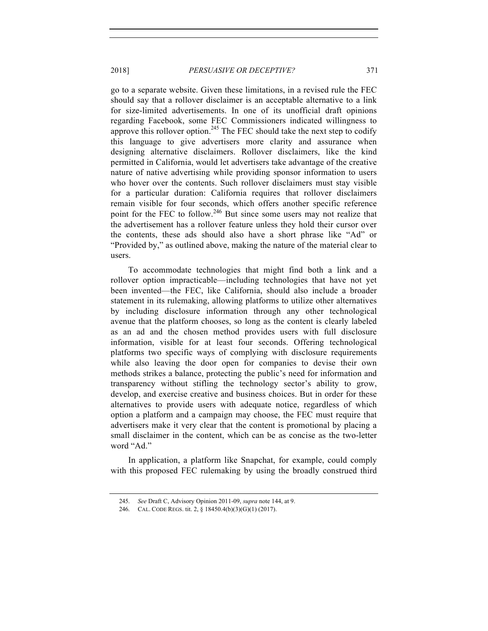go to a separate website. Given these limitations, in a revised rule the FEC should say that a rollover disclaimer is an acceptable alternative to a link for size-limited advertisements. In one of its unofficial draft opinions regarding Facebook, some FEC Commissioners indicated willingness to approve this rollover option.<sup>245</sup> The FEC should take the next step to codify this language to give advertisers more clarity and assurance when designing alternative disclaimers. Rollover disclaimers, like the kind permitted in California, would let advertisers take advantage of the creative nature of native advertising while providing sponsor information to users who hover over the contents. Such rollover disclaimers must stay visible for a particular duration: California requires that rollover disclaimers remain visible for four seconds, which offers another specific reference point for the FEC to follow.<sup>246</sup> But since some users may not realize that the advertisement has a rollover feature unless they hold their cursor over the contents, these ads should also have a short phrase like "Ad" or "Provided by," as outlined above, making the nature of the material clear to users.

To accommodate technologies that might find both a link and a rollover option impracticable—including technologies that have not yet been invented—the FEC, like California, should also include a broader statement in its rulemaking, allowing platforms to utilize other alternatives by including disclosure information through any other technological avenue that the platform chooses, so long as the content is clearly labeled as an ad and the chosen method provides users with full disclosure information, visible for at least four seconds. Offering technological platforms two specific ways of complying with disclosure requirements while also leaving the door open for companies to devise their own methods strikes a balance, protecting the public's need for information and transparency without stifling the technology sector's ability to grow, develop, and exercise creative and business choices. But in order for these alternatives to provide users with adequate notice, regardless of which option a platform and a campaign may choose, the FEC must require that advertisers make it very clear that the content is promotional by placing a small disclaimer in the content, which can be as concise as the two-letter word "Ad."

In application, a platform like Snapchat, for example, could comply with this proposed FEC rulemaking by using the broadly construed third

<sup>245.</sup> *See* Draft C, Advisory Opinion 2011-09, *supra* note 144, at 9.

<sup>246.</sup> CAL. CODE REGS. tit. 2, § 18450.4(b)(3)(G)(1) (2017).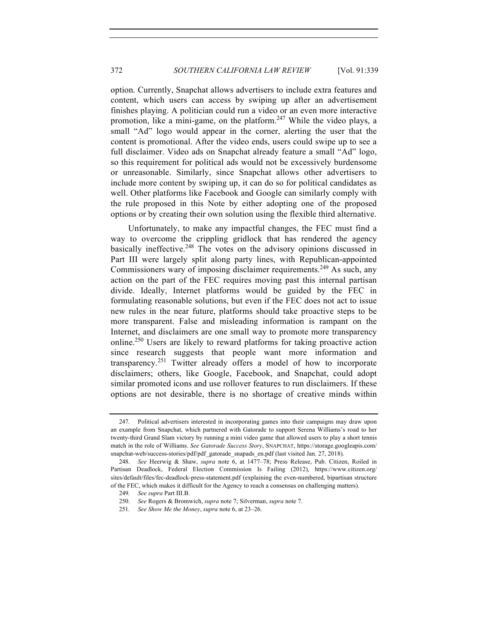option. Currently, Snapchat allows advertisers to include extra features and content, which users can access by swiping up after an advertisement finishes playing. A politician could run a video or an even more interactive promotion, like a mini-game, on the platform.<sup>247</sup> While the video plays, a small "Ad" logo would appear in the corner, alerting the user that the content is promotional. After the video ends, users could swipe up to see a full disclaimer. Video ads on Snapchat already feature a small "Ad" logo, so this requirement for political ads would not be excessively burdensome or unreasonable. Similarly, since Snapchat allows other advertisers to include more content by swiping up, it can do so for political candidates as well. Other platforms like Facebook and Google can similarly comply with the rule proposed in this Note by either adopting one of the proposed options or by creating their own solution using the flexible third alternative.

Unfortunately, to make any impactful changes, the FEC must find a way to overcome the crippling gridlock that has rendered the agency basically ineffective.<sup>248</sup> The votes on the advisory opinions discussed in Part III were largely split along party lines, with Republican-appointed Commissioners wary of imposing disclaimer requirements.<sup>249</sup> As such, any action on the part of the FEC requires moving past this internal partisan divide. Ideally, Internet platforms would be guided by the FEC in formulating reasonable solutions, but even if the FEC does not act to issue new rules in the near future, platforms should take proactive steps to be more transparent. False and misleading information is rampant on the Internet, and disclaimers are one small way to promote more transparency online.<sup>250</sup> Users are likely to reward platforms for taking proactive action since research suggests that people want more information and transparency.<sup>251</sup> Twitter already offers a model of how to incorporate disclaimers; others, like Google, Facebook, and Snapchat, could adopt similar promoted icons and use rollover features to run disclaimers. If these options are not desirable, there is no shortage of creative minds within

<sup>247.</sup> Political advertisers interested in incorporating games into their campaigns may draw upon an example from Snapchat, which partnered with Gatorade to support Serena Williams's road to her twenty-third Grand Slam victory by running a mini video game that allowed users to play a short tennis match in the role of Williams. *See Gatorade Success Story*, SNAPCHAT, https://storage.googleapis.com/ snapchat-web/success-stories/pdf/pdf\_gatorade\_snapads\_en.pdf (last visited Jan. 27, 2018).

<sup>248.</sup> *See* Heerwig & Shaw, *supra* note 6, at 1477–78; Press Release, Pub. Citizen, Roiled in Partisan Deadlock, Federal Election Commission Is Failing (2012), https://www.citizen.org/ sites/default/files/fec-deadlock-press-statement.pdf (explaining the even-numbered, bipartisan structure of the FEC, which makes it difficult for the Agency to reach a consensus on challenging matters).

<sup>249.</sup> *See supra* Part III.B.

<sup>250.</sup> *See* Rogers & Bromwich, *supra* note 7; Silverman, *supra* note 7.

<sup>251.</sup> *See Show Me the Money*, *supra* note 6, at 23–26.